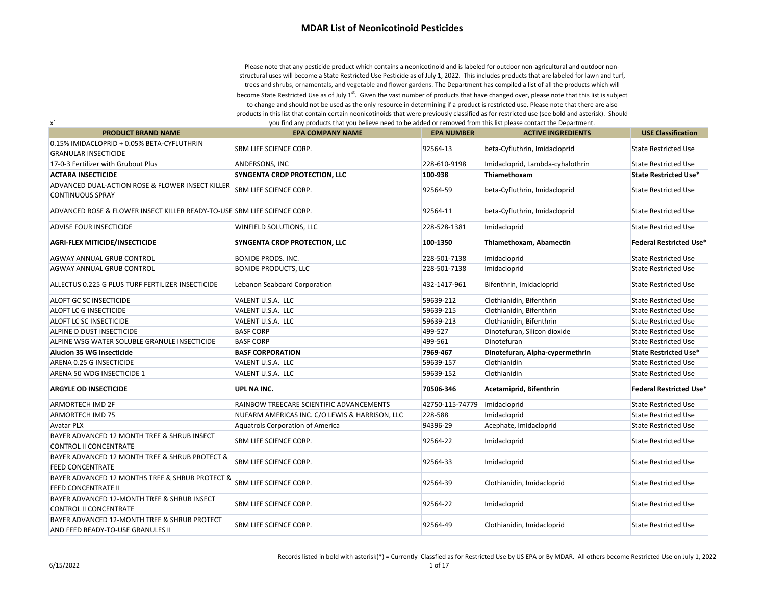Please note that any pesticide product which contains <sup>a</sup> neonicotinoid and is labeled for outdoor non‐agricultural and outdoor non‐ structural uses will become <sup>a</sup> State Restricted Use Pesticide as of July 1, 2022. This includes products that are labeled for lawn and turf, trees and shrubs, ornamentals, and vegetable and flower gardens. The Department has compiled <sup>a</sup> list of all the products which will

become State Restricted Use as of July 1<sup>st</sup>. Given the vast number of products that have changed over, please note that this list is subject to change and should not be used as the only resource in determining if <sup>a</sup> product is restricted use. Please note that there are also

products in this list that contain certain neonicotinoids that were previously classified as for restricted use (see bold and asterisk). Should

| x`                                                                                | you find any products that you believe need to be added or removed from this list please contact the Department. |                   |                                  |                                |
|-----------------------------------------------------------------------------------|------------------------------------------------------------------------------------------------------------------|-------------------|----------------------------------|--------------------------------|
| <b>PRODUCT BRAND NAME</b>                                                         | <b>EPA COMPANY NAME</b>                                                                                          | <b>EPA NUMBER</b> | <b>ACTIVE INGREDIENTS</b>        | <b>USE Classification</b>      |
| 0.15% IMIDACLOPRID + 0.05% BETA-CYFLUTHRIN                                        | SBM LIFE SCIENCE CORP.                                                                                           | 92564-13          | beta-Cyfluthrin, Imidacloprid    | <b>State Restricted Use</b>    |
| <b>GRANULAR INSECTICIDE</b>                                                       |                                                                                                                  |                   |                                  |                                |
| 17-0-3 Fertilizer with Grubout Plus                                               | ANDERSONS, INC                                                                                                   | 228-610-9198      | Imidacloprid, Lambda-cyhalothrin | <b>State Restricted Use</b>    |
| <b>ACTARA INSECTICIDE</b>                                                         | SYNGENTA CROP PROTECTION, LLC                                                                                    | 100-938           | Thiamethoxam                     | <b>State Restricted Use*</b>   |
| ADVANCED DUAL-ACTION ROSE & FLOWER INSECT KILLER<br><b>CONTINUOUS SPRAY</b>       | SBM LIFE SCIENCE CORP.                                                                                           | 92564-59          | beta-Cyfluthrin, Imidacloprid    | <b>State Restricted Use</b>    |
| ADVANCED ROSE & FLOWER INSECT KILLER READY-TO-USE SBM LIFE SCIENCE CORP.          |                                                                                                                  | 92564-11          | beta-Cyfluthrin, Imidacloprid    | <b>State Restricted Use</b>    |
| <b>ADVISE FOUR INSECTICIDE</b>                                                    | WINFIELD SOLUTIONS, LLC                                                                                          | 228-528-1381      | Imidacloprid                     | <b>State Restricted Use</b>    |
| <b>AGRI-FLEX MITICIDE/INSECTICIDE</b>                                             | SYNGENTA CROP PROTECTION, LLC                                                                                    | 100-1350          | Thiamethoxam, Abamectin          | <b>Federal Restricted Use*</b> |
| AGWAY ANNUAL GRUB CONTROL                                                         | <b>BONIDE PRODS. INC.</b>                                                                                        | 228-501-7138      | Imidacloprid                     | <b>State Restricted Use</b>    |
| AGWAY ANNUAL GRUB CONTROL                                                         | <b>BONIDE PRODUCTS, LLC</b>                                                                                      | 228-501-7138      | Imidacloprid                     | <b>State Restricted Use</b>    |
| ALLECTUS 0.225 G PLUS TURF FERTILIZER INSECTICIDE                                 | Lebanon Seaboard Corporation                                                                                     | 432-1417-961      | Bifenthrin, Imidacloprid         | <b>State Restricted Use</b>    |
| ALOFT GC SC INSECTICIDE                                                           | VALENT U.S.A. LLC                                                                                                | 59639-212         | Clothianidin, Bifenthrin         | <b>State Restricted Use</b>    |
| ALOFT LC G INSECTICIDE                                                            | VALENT U.S.A. LLC                                                                                                | 59639-215         | Clothianidin, Bifenthrin         | <b>State Restricted Use</b>    |
| ALOFT LC SC INSECTICIDE                                                           | VALENT U.S.A. LLC                                                                                                | 59639-213         | Clothianidin, Bifenthrin         | <b>State Restricted Use</b>    |
| ALPINE D DUST INSECTICIDE                                                         | <b>BASF CORP</b>                                                                                                 | 499-527           | Dinotefuran, Silicon dioxide     | <b>State Restricted Use</b>    |
| ALPINE WSG WATER SOLUBLE GRANULE INSECTICIDE                                      | <b>BASF CORP</b>                                                                                                 | 499-561           | Dinotefuran                      | <b>State Restricted Use</b>    |
| <b>Alucion 35 WG Insecticide</b>                                                  | <b>BASF CORPORATION</b>                                                                                          | 7969-467          | Dinotefuran, Alpha-cypermethrin  | <b>State Restricted Use*</b>   |
| ARENA 0.25 G INSECTICIDE                                                          | VALENT U.S.A. LLC                                                                                                | 59639-157         | Clothianidin                     | <b>State Restricted Use</b>    |
| ARENA 50 WDG INSECTICIDE 1                                                        | VALENT U.S.A. LLC                                                                                                | 59639-152         | Clothianidin                     | <b>State Restricted Use</b>    |
| <b>ARGYLE OD INSECTICIDE</b>                                                      | UPL NA INC.                                                                                                      | 70506-346         | Acetamiprid, Bifenthrin          | <b>Federal Restricted Use*</b> |
| <b>ARMORTECH IMD 2F</b>                                                           | RAINBOW TREECARE SCIENTIFIC ADVANCEMENTS                                                                         | 42750-115-74779   | Imidacloprid                     | <b>State Restricted Use</b>    |
| ARMORTECH IMD 75                                                                  | NUFARM AMERICAS INC. C/O LEWIS & HARRISON, LLC                                                                   | 228-588           | Imidacloprid                     | <b>State Restricted Use</b>    |
| <b>Avatar PLX</b>                                                                 | <b>Aquatrols Corporation of America</b>                                                                          | 94396-29          | Acephate, Imidacloprid           | <b>State Restricted Use</b>    |
| BAYER ADVANCED 12 MONTH TREE & SHRUB INSECT<br><b>CONTROL II CONCENTRATE</b>      | SBM LIFE SCIENCE CORP.                                                                                           | 92564-22          | Imidacloprid                     | <b>State Restricted Use</b>    |
| BAYER ADVANCED 12 MONTH TREE & SHRUB PROTECT &<br><b>FEED CONCENTRATE</b>         | <b>SBM LIFE SCIENCE CORP.</b>                                                                                    | 92564-33          | Imidacloprid                     | <b>State Restricted Use</b>    |
| BAYER ADVANCED 12 MONTHS TREE & SHRUB PROTECT &<br>FEED CONCENTRATE II            | SBM LIFE SCIENCE CORP.                                                                                           | 92564-39          | Clothianidin, Imidacloprid       | <b>State Restricted Use</b>    |
| BAYER ADVANCED 12-MONTH TREE & SHRUB INSECT<br><b>CONTROL II CONCENTRATE</b>      | SBM LIFE SCIENCE CORP.                                                                                           | 92564-22          | Imidacloprid                     | <b>State Restricted Use</b>    |
| BAYER ADVANCED 12-MONTH TREE & SHRUB PROTECT<br>AND FEED READY-TO-USE GRANULES II | SBM LIFE SCIENCE CORP.                                                                                           | 92564-49          | Clothianidin, Imidacloprid       | <b>State Restricted Use</b>    |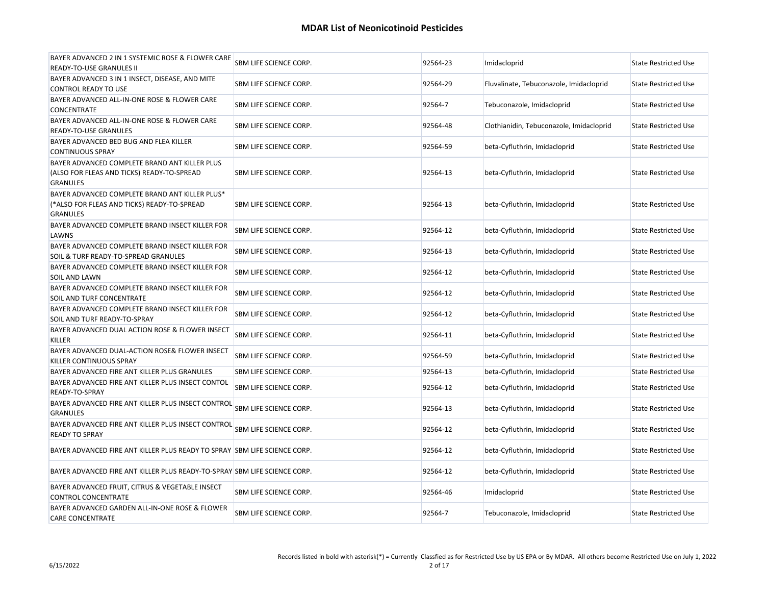| BAYER ADVANCED 2 IN 1 SYSTEMIC ROSE & FLOWER CARE<br>READY-TO-USE GRANULES II                                    | SBM LIFE SCIENCE CORP. | 92564-23 | Imidacloprid                             | <b>State Restricted Use</b> |
|------------------------------------------------------------------------------------------------------------------|------------------------|----------|------------------------------------------|-----------------------------|
| BAYER ADVANCED 3 IN 1 INSECT, DISEASE, AND MITE<br>CONTROL READY TO USE                                          | SBM LIFE SCIENCE CORP. | 92564-29 | Fluvalinate, Tebuconazole, Imidacloprid  | <b>State Restricted Use</b> |
| BAYER ADVANCED ALL-IN-ONE ROSE & FLOWER CARE<br>CONCENTRATE                                                      | SBM LIFE SCIENCE CORP. | 92564-7  | Tebuconazole, Imidacloprid               | <b>State Restricted Use</b> |
| BAYER ADVANCED ALL-IN-ONE ROSE & FLOWER CARE<br>READY-TO-USE GRANULES                                            | SBM LIFE SCIENCE CORP. | 92564-48 | Clothianidin, Tebuconazole, Imidacloprid | <b>State Restricted Use</b> |
| BAYER ADVANCED BED BUG AND FLEA KILLER<br><b>CONTINUOUS SPRAY</b>                                                | SBM LIFE SCIENCE CORP. | 92564-59 | beta-Cyfluthrin, Imidacloprid            | <b>State Restricted Use</b> |
| BAYER ADVANCED COMPLETE BRAND ANT KILLER PLUS<br>(ALSO FOR FLEAS AND TICKS) READY-TO-SPREAD<br><b>GRANULES</b>   | SBM LIFE SCIENCE CORP. | 92564-13 | beta-Cyfluthrin, Imidacloprid            | <b>State Restricted Use</b> |
| BAYER ADVANCED COMPLETE BRAND ANT KILLER PLUS*<br>(*ALSO FOR FLEAS AND TICKS) READY-TO-SPREAD<br><b>GRANULES</b> | SBM LIFE SCIENCE CORP. | 92564-13 | beta-Cyfluthrin, Imidacloprid            | <b>State Restricted Use</b> |
| BAYER ADVANCED COMPLETE BRAND INSECT KILLER FOR<br>LAWNS                                                         | SBM LIFE SCIENCE CORP. | 92564-12 | beta-Cyfluthrin, Imidacloprid            | <b>State Restricted Use</b> |
| BAYER ADVANCED COMPLETE BRAND INSECT KILLER FOR<br>SOIL & TURF READY-TO-SPREAD GRANULES                          | SBM LIFE SCIENCE CORP. | 92564-13 | beta-Cyfluthrin, Imidacloprid            | <b>State Restricted Use</b> |
| BAYER ADVANCED COMPLETE BRAND INSECT KILLER FOR<br>SOIL AND LAWN                                                 | SBM LIFE SCIENCE CORP. | 92564-12 | beta-Cyfluthrin, Imidacloprid            | <b>State Restricted Use</b> |
| BAYER ADVANCED COMPLETE BRAND INSECT KILLER FOR<br>SOIL AND TURF CONCENTRATE                                     | SBM LIFE SCIENCE CORP. | 92564-12 | beta-Cyfluthrin, Imidacloprid            | <b>State Restricted Use</b> |
| BAYER ADVANCED COMPLETE BRAND INSECT KILLER FOR<br>SOIL AND TURF READY-TO-SPRAY                                  | SBM LIFE SCIENCE CORP. | 92564-12 | beta-Cyfluthrin, Imidacloprid            | <b>State Restricted Use</b> |
| BAYER ADVANCED DUAL ACTION ROSE & FLOWER INSECT<br>KILLER                                                        | SBM LIFE SCIENCE CORP. | 92564-11 | beta-Cyfluthrin, Imidacloprid            | <b>State Restricted Use</b> |
| BAYER ADVANCED DUAL-ACTION ROSE& FLOWER INSECT<br>KILLER CONTINUOUS SPRAY                                        | SBM LIFE SCIENCE CORP. | 92564-59 | beta-Cyfluthrin, Imidacloprid            | <b>State Restricted Use</b> |
| BAYER ADVANCED FIRE ANT KILLER PLUS GRANULES                                                                     | SBM LIFE SCIENCE CORP. | 92564-13 | beta-Cyfluthrin, Imidacloprid            | <b>State Restricted Use</b> |
| BAYER ADVANCED FIRE ANT KILLER PLUS INSECT CONTOL<br>READY-TO-SPRAY                                              | SBM LIFE SCIENCE CORP. | 92564-12 | beta-Cyfluthrin, Imidacloprid            | <b>State Restricted Use</b> |
| BAYER ADVANCED FIRE ANT KILLER PLUS INSECT CONTROL<br><b>GRANULES</b>                                            | SBM LIFE SCIENCE CORP. | 92564-13 | beta-Cyfluthrin, Imidacloprid            | <b>State Restricted Use</b> |
| BAYER ADVANCED FIRE ANT KILLER PLUS INSECT CONTROL<br><b>READY TO SPRAY</b>                                      | SBM LIFE SCIENCE CORP. | 92564-12 | beta-Cyfluthrin, Imidacloprid            | <b>State Restricted Use</b> |
| BAYER ADVANCED FIRE ANT KILLER PLUS READY TO SPRAY SBM LIFE SCIENCE CORP.                                        |                        | 92564-12 | beta-Cyfluthrin, Imidacloprid            | <b>State Restricted Use</b> |
| BAYER ADVANCED FIRE ANT KILLER PLUS READY-TO-SPRAY SBM LIFE SCIENCE CORP.                                        |                        | 92564-12 | beta-Cyfluthrin, Imidacloprid            | <b>State Restricted Use</b> |
| BAYER ADVANCED FRUIT, CITRUS & VEGETABLE INSECT<br><b>CONTROL CONCENTRATE</b>                                    | SBM LIFE SCIENCE CORP. | 92564-46 | Imidacloprid                             | <b>State Restricted Use</b> |
| BAYER ADVANCED GARDEN ALL-IN-ONE ROSE & FLOWER<br><b>CARE CONCENTRATE</b>                                        | SBM LIFE SCIENCE CORP. | 92564-7  | Tebuconazole, Imidacloprid               | <b>State Restricted Use</b> |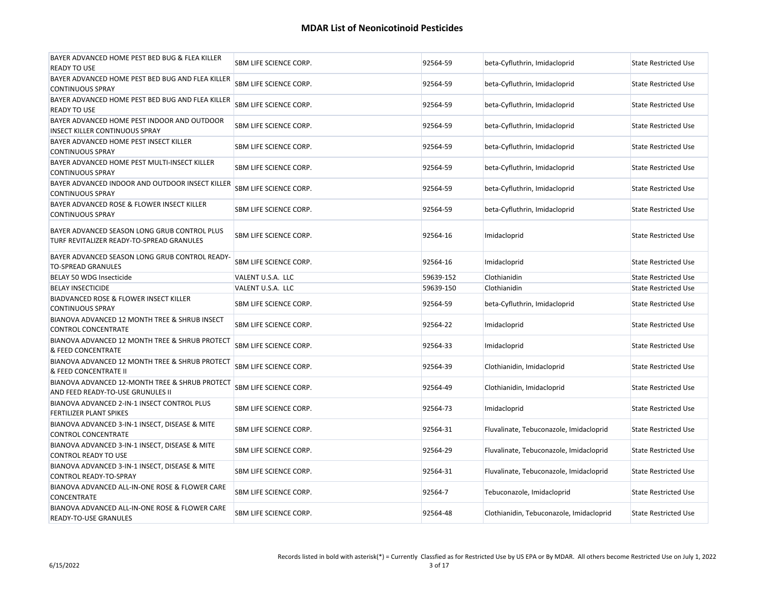| BAYER ADVANCED HOME PEST BED BUG & FLEA KILLER<br><b>READY TO USE</b>                     | <b>SBM LIFE SCIENCE CORP.</b> | 92564-59  | beta-Cyfluthrin, Imidacloprid            | <b>State Restricted Use</b> |
|-------------------------------------------------------------------------------------------|-------------------------------|-----------|------------------------------------------|-----------------------------|
| BAYER ADVANCED HOME PEST BED BUG AND FLEA KILLER<br><b>CONTINUOUS SPRAY</b>               | SBM LIFE SCIENCE CORP.        | 92564-59  | beta-Cyfluthrin, Imidacloprid            | <b>State Restricted Use</b> |
| BAYER ADVANCED HOME PEST BED BUG AND FLEA KILLER<br><b>READY TO USE</b>                   | SBM LIFE SCIENCE CORP.        | 92564-59  | beta-Cyfluthrin, Imidacloprid            | <b>State Restricted Use</b> |
| BAYER ADVANCED HOME PEST INDOOR AND OUTDOOR<br><b>INSECT KILLER CONTINUOUS SPRAY</b>      | <b>SBM LIFE SCIENCE CORP.</b> | 92564-59  | beta-Cyfluthrin, Imidacloprid            | <b>State Restricted Use</b> |
| BAYER ADVANCED HOME PEST INSECT KILLER<br><b>CONTINUOUS SPRAY</b>                         | SBM LIFE SCIENCE CORP.        | 92564-59  | beta-Cyfluthrin, Imidacloprid            | <b>State Restricted Use</b> |
| BAYER ADVANCED HOME PEST MULTI-INSECT KILLER<br><b>CONTINUOUS SPRAY</b>                   | SBM LIFE SCIENCE CORP.        | 92564-59  | beta-Cyfluthrin, Imidacloprid            | <b>State Restricted Use</b> |
| BAYER ADVANCED INDOOR AND OUTDOOR INSECT KILLER<br><b>CONTINUOUS SPRAY</b>                | SBM LIFE SCIENCE CORP.        | 92564-59  | beta-Cyfluthrin, Imidacloprid            | <b>State Restricted Use</b> |
| BAYER ADVANCED ROSE & FLOWER INSECT KILLER<br><b>CONTINUOUS SPRAY</b>                     | SBM LIFE SCIENCE CORP.        | 92564-59  | beta-Cyfluthrin, Imidacloprid            | <b>State Restricted Use</b> |
| BAYER ADVANCED SEASON LONG GRUB CONTROL PLUS<br>TURF REVITALIZER READY-TO-SPREAD GRANULES | SBM LIFE SCIENCE CORP.        | 92564-16  | Imidacloprid                             | <b>State Restricted Use</b> |
| BAYER ADVANCED SEASON LONG GRUB CONTROL READY-<br><b>TO-SPREAD GRANULES</b>               | SBM LIFE SCIENCE CORP.        | 92564-16  | Imidacloprid                             | <b>State Restricted Use</b> |
| BELAY 50 WDG Insecticide                                                                  | VALENT U.S.A. LLC             | 59639-152 | Clothianidin                             | <b>State Restricted Use</b> |
| <b>BELAY INSECTICIDE</b>                                                                  | VALENT U.S.A. LLC             | 59639-150 | Clothianidin                             | <b>State Restricted Use</b> |
| BIADVANCED ROSE & FLOWER INSECT KILLER<br><b>CONTINUOUS SPRAY</b>                         | SBM LIFE SCIENCE CORP.        | 92564-59  | beta-Cyfluthrin, Imidacloprid            | <b>State Restricted Use</b> |
| BIANOVA ADVANCED 12 MONTH TREE & SHRUB INSECT<br><b>CONTROL CONCENTRATE</b>               | <b>SBM LIFE SCIENCE CORP.</b> | 92564-22  | Imidacloprid                             | <b>State Restricted Use</b> |
| BIANOVA ADVANCED 12 MONTH TREE & SHRUB PROTECT<br>& FEED CONCENTRATE                      | SBM LIFE SCIENCE CORP.        | 92564-33  | Imidacloprid                             | <b>State Restricted Use</b> |
| BIANOVA ADVANCED 12 MONTH TREE & SHRUB PROTECT<br>& FEED CONCENTRATE II                   | SBM LIFE SCIENCE CORP.        | 92564-39  | Clothianidin, Imidacloprid               | <b>State Restricted Use</b> |
| BIANOVA ADVANCED 12-MONTH TREE & SHRUB PROTECT<br>AND FEED READY-TO-USE GRUNULES II       | SBM LIFE SCIENCE CORP.        | 92564-49  | Clothianidin, Imidacloprid               | <b>State Restricted Use</b> |
| BIANOVA ADVANCED 2-IN-1 INSECT CONTROL PLUS<br>FERTILIZER PLANT SPIKES                    | SBM LIFE SCIENCE CORP.        | 92564-73  | Imidacloprid                             | <b>State Restricted Use</b> |
| BIANOVA ADVANCED 3-IN-1 INSECT, DISEASE & MITE<br><b>CONTROL CONCENTRATE</b>              | SBM LIFE SCIENCE CORP.        | 92564-31  | Fluvalinate, Tebuconazole, Imidacloprid  | <b>State Restricted Use</b> |
| BIANOVA ADVANCED 3-IN-1 INSECT, DISEASE & MITE<br><b>CONTROL READY TO USE</b>             | SBM LIFE SCIENCE CORP.        | 92564-29  | Fluvalinate, Tebuconazole, Imidacloprid  | <b>State Restricted Use</b> |
| BIANOVA ADVANCED 3-IN-1 INSECT, DISEASE & MITE<br>CONTROL READY-TO-SPRAY                  | SBM LIFE SCIENCE CORP.        | 92564-31  | Fluvalinate, Tebuconazole, Imidacloprid  | <b>State Restricted Use</b> |
| BIANOVA ADVANCED ALL-IN-ONE ROSE & FLOWER CARE<br>CONCENTRATE                             | SBM LIFE SCIENCE CORP.        | 92564-7   | Tebuconazole, Imidacloprid               | <b>State Restricted Use</b> |
| BIANOVA ADVANCED ALL-IN-ONE ROSE & FLOWER CARE<br><b>READY-TO-USE GRANULES</b>            | SBM LIFE SCIENCE CORP.        | 92564-48  | Clothianidin, Tebuconazole, Imidacloprid | <b>State Restricted Use</b> |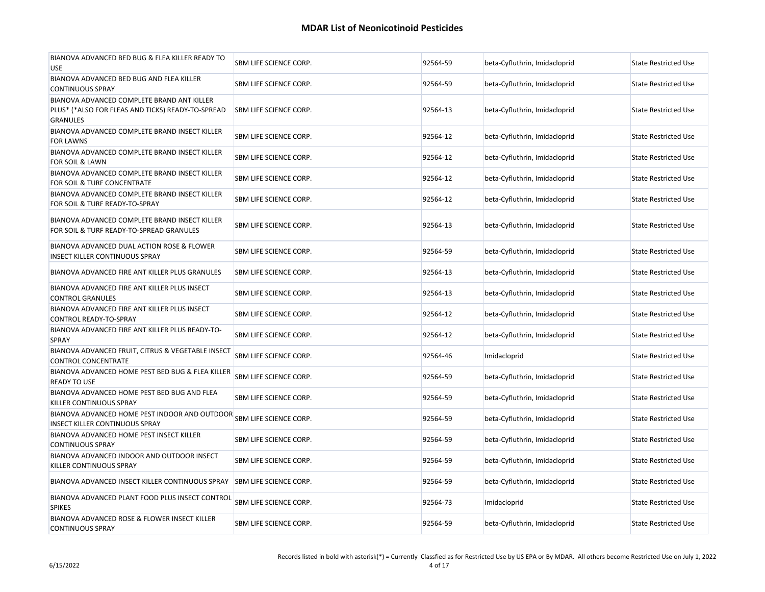| BIANOVA ADVANCED BED BUG & FLEA KILLER READY TO<br><b>USE</b>                                                      | SBM LIFE SCIENCE CORP.        | 92564-59 | beta-Cyfluthrin, Imidacloprid | <b>State Restricted Use</b> |
|--------------------------------------------------------------------------------------------------------------------|-------------------------------|----------|-------------------------------|-----------------------------|
| BIANOVA ADVANCED BED BUG AND FLEA KILLER<br><b>CONTINUOUS SPRAY</b>                                                | SBM LIFE SCIENCE CORP.        | 92564-59 | beta-Cyfluthrin, Imidacloprid | <b>State Restricted Use</b> |
| BIANOVA ADVANCED COMPLETE BRAND ANT KILLER<br>PLUS* (*ALSO FOR FLEAS AND TICKS) READY-TO-SPREAD<br><b>GRANULES</b> | <b>SBM LIFE SCIENCE CORP.</b> | 92564-13 | beta-Cyfluthrin, Imidacloprid | <b>State Restricted Use</b> |
| BIANOVA ADVANCED COMPLETE BRAND INSECT KILLER<br>FOR LAWNS                                                         | SBM LIFE SCIENCE CORP.        | 92564-12 | beta-Cyfluthrin, Imidacloprid | <b>State Restricted Use</b> |
| BIANOVA ADVANCED COMPLETE BRAND INSECT KILLER<br>FOR SOIL & LAWN                                                   | SBM LIFE SCIENCE CORP.        | 92564-12 | beta-Cyfluthrin, Imidacloprid | <b>State Restricted Use</b> |
| BIANOVA ADVANCED COMPLETE BRAND INSECT KILLER<br>FOR SOIL & TURF CONCENTRATE                                       | SBM LIFE SCIENCE CORP.        | 92564-12 | beta-Cyfluthrin, Imidacloprid | <b>State Restricted Use</b> |
| BIANOVA ADVANCED COMPLETE BRAND INSECT KILLER<br>FOR SOIL & TURF READY-TO-SPRAY                                    | SBM LIFE SCIENCE CORP.        | 92564-12 | beta-Cyfluthrin, Imidacloprid | <b>State Restricted Use</b> |
| BIANOVA ADVANCED COMPLETE BRAND INSECT KILLER<br>FOR SOIL & TURF READY-TO-SPREAD GRANULES                          | SBM LIFE SCIENCE CORP.        | 92564-13 | beta-Cyfluthrin, Imidacloprid | State Restricted Use        |
| BIANOVA ADVANCED DUAL ACTION ROSE & FLOWER<br>INSECT KILLER CONTINUOUS SPRAY                                       | SBM LIFE SCIENCE CORP.        | 92564-59 | beta-Cyfluthrin, Imidacloprid | <b>State Restricted Use</b> |
| BIANOVA ADVANCED FIRE ANT KILLER PLUS GRANULES                                                                     | SBM LIFE SCIENCE CORP.        | 92564-13 | beta-Cyfluthrin, Imidacloprid | <b>State Restricted Use</b> |
| BIANOVA ADVANCED FIRE ANT KILLER PLUS INSECT<br>CONTROL GRANULES                                                   | SBM LIFE SCIENCE CORP.        | 92564-13 | beta-Cyfluthrin, Imidacloprid | <b>State Restricted Use</b> |
| BIANOVA ADVANCED FIRE ANT KILLER PLUS INSECT<br>CONTROL READY-TO-SPRAY                                             | SBM LIFE SCIENCE CORP.        | 92564-12 | beta-Cyfluthrin, Imidacloprid | <b>State Restricted Use</b> |
| BIANOVA ADVANCED FIRE ANT KILLER PLUS READY-TO-<br>SPRAY                                                           | SBM LIFE SCIENCE CORP.        | 92564-12 | beta-Cyfluthrin, Imidacloprid | <b>State Restricted Use</b> |
| BIANOVA ADVANCED FRUIT, CITRUS & VEGETABLE INSECT<br>CONTROL CONCENTRATE                                           | SBM LIFE SCIENCE CORP.        | 92564-46 | Imidacloprid                  | State Restricted Use        |
| BIANOVA ADVANCED HOME PEST BED BUG & FLEA KILLER<br><b>READY TO USE</b>                                            | SBM LIFE SCIENCE CORP.        | 92564-59 | beta-Cyfluthrin, Imidacloprid | <b>State Restricted Use</b> |
| BIANOVA ADVANCED HOME PEST BED BUG AND FLEA<br>KILLER CONTINUOUS SPRAY                                             | SBM LIFE SCIENCE CORP.        | 92564-59 | beta-Cyfluthrin, Imidacloprid | <b>State Restricted Use</b> |
| BIANOVA ADVANCED HOME PEST INDOOR AND OUTDOOR<br>INSECT KILLER CONTINUOUS SPRAY                                    | SBM LIFE SCIENCE CORP.        | 92564-59 | beta-Cyfluthrin, Imidacloprid | <b>State Restricted Use</b> |
| BIANOVA ADVANCED HOME PEST INSECT KILLER<br>CONTINUOUS SPRAY                                                       | SBM LIFE SCIENCE CORP.        | 92564-59 | beta-Cyfluthrin, Imidacloprid | <b>State Restricted Use</b> |
| BIANOVA ADVANCED INDOOR AND OUTDOOR INSECT<br>KILLER CONTINUOUS SPRAY                                              | SBM LIFE SCIENCE CORP.        | 92564-59 | beta-Cyfluthrin, Imidacloprid | <b>State Restricted Use</b> |
| BIANOVA ADVANCED INSECT KILLER CONTINUOUS SPRAY                                                                    | <b>SBM LIFE SCIENCE CORP.</b> | 92564-59 | beta-Cyfluthrin, Imidacloprid | <b>State Restricted Use</b> |
| BIANOVA ADVANCED PLANT FOOD PLUS INSECT CONTROL<br><b>SPIKES</b>                                                   | SBM LIFE SCIENCE CORP.        | 92564-73 | Imidacloprid                  | <b>State Restricted Use</b> |
| BIANOVA ADVANCED ROSE & FLOWER INSECT KILLER<br><b>CONTINUOUS SPRAY</b>                                            | SBM LIFE SCIENCE CORP.        | 92564-59 | beta-Cyfluthrin, Imidacloprid | <b>State Restricted Use</b> |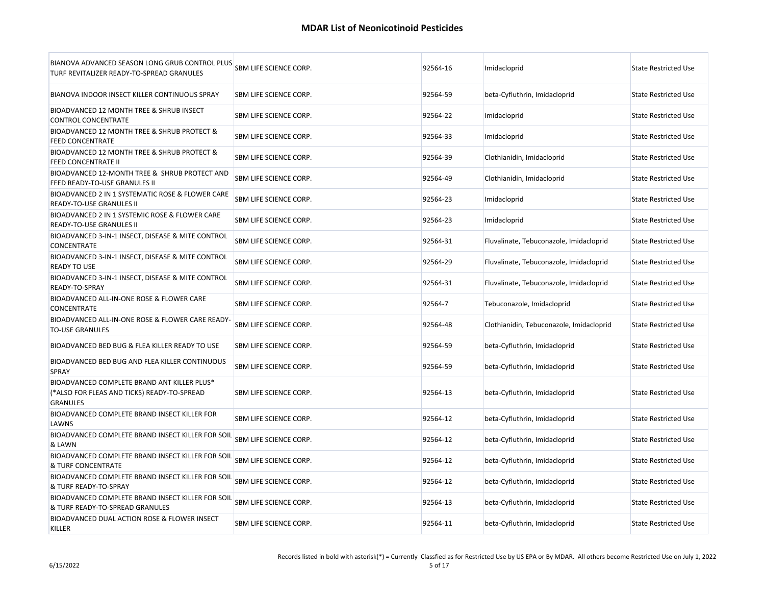| BIANOVA ADVANCED SEASON LONG GRUB CONTROL PLUS<br>TURF REVITALIZER READY-TO-SPREAD GRANULES                   | SBM LIFE SCIENCE CORP.        | 92564-16 | Imidacloprid                             | <b>State Restricted Use</b> |
|---------------------------------------------------------------------------------------------------------------|-------------------------------|----------|------------------------------------------|-----------------------------|
| BIANOVA INDOOR INSECT KILLER CONTINUOUS SPRAY                                                                 | SBM LIFE SCIENCE CORP.        | 92564-59 | beta-Cyfluthrin, Imidacloprid            | <b>State Restricted Use</b> |
| BIOADVANCED 12 MONTH TREE & SHRUB INSECT<br><b>CONTROL CONCENTRATE</b>                                        | SBM LIFE SCIENCE CORP.        | 92564-22 | Imidacloprid                             | <b>State Restricted Use</b> |
| BIOADVANCED 12 MONTH TREE & SHRUB PROTECT &<br><b>FEED CONCENTRATE</b>                                        | SBM LIFE SCIENCE CORP.        | 92564-33 | Imidacloprid                             | <b>State Restricted Use</b> |
| BIOADVANCED 12 MONTH TREE & SHRUB PROTECT &<br>FEED CONCENTRATE II                                            | <b>SBM LIFE SCIENCE CORP.</b> | 92564-39 | Clothianidin, Imidacloprid               | <b>State Restricted Use</b> |
| BIOADVANCED 12-MONTH TREE & SHRUB PROTECT AND<br>FEED READY-TO-USE GRANULES II                                | SBM LIFE SCIENCE CORP.        | 92564-49 | Clothianidin, Imidacloprid               | <b>State Restricted Use</b> |
| BIOADVANCED 2 IN 1 SYSTEMATIC ROSE & FLOWER CARE<br>READY-TO-USE GRANULES II                                  | SBM LIFE SCIENCE CORP.        | 92564-23 | Imidacloprid                             | <b>State Restricted Use</b> |
| BIOADVANCED 2 IN 1 SYSTEMIC ROSE & FLOWER CARE<br>READY-TO-USE GRANULES II                                    | SBM LIFE SCIENCE CORP.        | 92564-23 | Imidacloprid                             | <b>State Restricted Use</b> |
| BIOADVANCED 3-IN-1 INSECT, DISEASE & MITE CONTROL<br>CONCENTRATE                                              | SBM LIFE SCIENCE CORP.        | 92564-31 | Fluvalinate, Tebuconazole, Imidacloprid  | <b>State Restricted Use</b> |
| BIOADVANCED 3-IN-1 INSECT, DISEASE & MITE CONTROL<br><b>READY TO USE</b>                                      | SBM LIFE SCIENCE CORP.        | 92564-29 | Fluvalinate, Tebuconazole, Imidacloprid  | <b>State Restricted Use</b> |
| BIOADVANCED 3-IN-1 INSECT, DISEASE & MITE CONTROL<br>READY-TO-SPRAY                                           | SBM LIFE SCIENCE CORP.        | 92564-31 | Fluvalinate, Tebuconazole, Imidacloprid  | <b>State Restricted Use</b> |
| BIOADVANCED ALL-IN-ONE ROSE & FLOWER CARE<br>CONCENTRATE                                                      | SBM LIFE SCIENCE CORP.        | 92564-7  | Tebuconazole, Imidacloprid               | <b>State Restricted Use</b> |
| BIOADVANCED ALL-IN-ONE ROSE & FLOWER CARE READY<br><b>TO-USE GRANULES</b>                                     | SBM LIFE SCIENCE CORP.        | 92564-48 | Clothianidin, Tebuconazole, Imidacloprid | <b>State Restricted Use</b> |
| BIOADVANCED BED BUG & FLEA KILLER READY TO USE                                                                | SBM LIFE SCIENCE CORP.        | 92564-59 | beta-Cyfluthrin, Imidacloprid            | <b>State Restricted Use</b> |
| BIOADVANCED BED BUG AND FLEA KILLER CONTINUOUS<br>SPRAY                                                       | SBM LIFE SCIENCE CORP.        | 92564-59 | beta-Cyfluthrin, Imidacloprid            | <b>State Restricted Use</b> |
| BIOADVANCED COMPLETE BRAND ANT KILLER PLUS*<br>(*ALSO FOR FLEAS AND TICKS) READY-TO-SPREAD<br><b>GRANULES</b> | SBM LIFE SCIENCE CORP.        | 92564-13 | beta-Cyfluthrin, Imidacloprid            | <b>State Restricted Use</b> |
| BIOADVANCED COMPLETE BRAND INSECT KILLER FOR<br>LAWNS                                                         | SBM LIFE SCIENCE CORP.        | 92564-12 | beta-Cyfluthrin, Imidacloprid            | <b>State Restricted Use</b> |
| BIOADVANCED COMPLETE BRAND INSECT KILLER FOR SOIL<br>& LAWN                                                   | SBM LIFE SCIENCE CORP.        | 92564-12 | beta-Cyfluthrin, Imidacloprid            | <b>State Restricted Use</b> |
| BIOADVANCED COMPLETE BRAND INSECT KILLER FOR SOIL<br>& TURF CONCENTRATE                                       | SBM LIFE SCIENCE CORP.        | 92564-12 | beta-Cyfluthrin, Imidacloprid            | <b>State Restricted Use</b> |
| BIOADVANCED COMPLETE BRAND INSECT KILLER FOR SOIL<br>& TURF READY-TO-SPRAY                                    | SBM LIFE SCIENCE CORP.        | 92564-12 | beta-Cyfluthrin, Imidacloprid            | <b>State Restricted Use</b> |
| BIOADVANCED COMPLETE BRAND INSECT KILLER FOR SOIL<br>& TURF READY-TO-SPREAD GRANULES                          | SBM LIFE SCIENCE CORP.        | 92564-13 | beta-Cyfluthrin, Imidacloprid            | <b>State Restricted Use</b> |
| BIOADVANCED DUAL ACTION ROSE & FLOWER INSECT<br>KILLER                                                        | SBM LIFE SCIENCE CORP.        | 92564-11 | beta-Cyfluthrin, Imidacloprid            | <b>State Restricted Use</b> |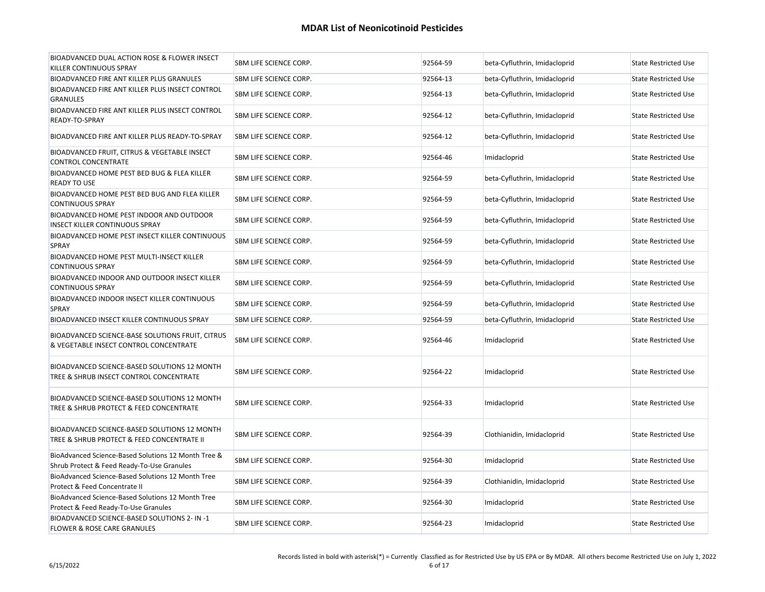| BIOADVANCED DUAL ACTION ROSE & FLOWER INSECT<br>KILLER CONTINUOUS SPRAY                           | SBM LIFE SCIENCE CORP.        | 92564-59 | beta-Cyfluthrin, Imidacloprid | <b>State Restricted Use</b> |
|---------------------------------------------------------------------------------------------------|-------------------------------|----------|-------------------------------|-----------------------------|
| BIOADVANCED FIRE ANT KILLER PLUS GRANULES                                                         | SBM LIFE SCIENCE CORP.        | 92564-13 | beta-Cyfluthrin, Imidacloprid | <b>State Restricted Use</b> |
| BIOADVANCED FIRE ANT KILLER PLUS INSECT CONTROL<br><b>GRANULES</b>                                | SBM LIFE SCIENCE CORP.        | 92564-13 | beta-Cyfluthrin, Imidacloprid | <b>State Restricted Use</b> |
| BIOADVANCED FIRE ANT KILLER PLUS INSECT CONTROL<br>READY-TO-SPRAY                                 | SBM LIFE SCIENCE CORP.        | 92564-12 | beta-Cyfluthrin, Imidacloprid | <b>State Restricted Use</b> |
| BIOADVANCED FIRE ANT KILLER PLUS READY-TO-SPRAY                                                   | SBM LIFE SCIENCE CORP.        | 92564-12 | beta-Cyfluthrin, Imidacloprid | <b>State Restricted Use</b> |
| BIOADVANCED FRUIT, CITRUS & VEGETABLE INSECT<br><b>CONTROL CONCENTRATE</b>                        | SBM LIFE SCIENCE CORP.        | 92564-46 | Imidacloprid                  | <b>State Restricted Use</b> |
| BIOADVANCED HOME PEST BED BUG & FLEA KILLER<br><b>READY TO USE</b>                                | SBM LIFE SCIENCE CORP.        | 92564-59 | beta-Cyfluthrin, Imidacloprid | <b>State Restricted Use</b> |
| BIOADVANCED HOME PEST BED BUG AND FLEA KILLER<br><b>CONTINUOUS SPRAY</b>                          | SBM LIFE SCIENCE CORP.        | 92564-59 | beta-Cyfluthrin, Imidacloprid | <b>State Restricted Use</b> |
| BIOADVANCED HOME PEST INDOOR AND OUTDOOR<br>INSECT KILLER CONTINUOUS SPRAY                        | SBM LIFE SCIENCE CORP.        | 92564-59 | beta-Cyfluthrin, Imidacloprid | <b>State Restricted Use</b> |
| BIOADVANCED HOME PEST INSECT KILLER CONTINUOUS<br><b>SPRAY</b>                                    | SBM LIFE SCIENCE CORP.        | 92564-59 | beta-Cyfluthrin, Imidacloprid | <b>State Restricted Use</b> |
| BIOADVANCED HOME PEST MULTI-INSECT KILLER<br><b>CONTINUOUS SPRAY</b>                              | SBM LIFE SCIENCE CORP.        | 92564-59 | beta-Cyfluthrin, Imidacloprid | <b>State Restricted Use</b> |
| BIOADVANCED INDOOR AND OUTDOOR INSECT KILLER<br><b>CONTINUOUS SPRAY</b>                           | SBM LIFE SCIENCE CORP.        | 92564-59 | beta-Cyfluthrin, Imidacloprid | <b>State Restricted Use</b> |
| BIOADVANCED INDOOR INSECT KILLER CONTINUOUS<br>SPRAY                                              | SBM LIFE SCIENCE CORP.        | 92564-59 | beta-Cyfluthrin, Imidacloprid | <b>State Restricted Use</b> |
| BIOADVANCED INSECT KILLER CONTINUOUS SPRAY                                                        | <b>SBM LIFE SCIENCE CORP.</b> | 92564-59 | beta-Cyfluthrin, Imidacloprid | <b>State Restricted Use</b> |
| BIOADVANCED SCIENCE-BASE SOLUTIONS FRUIT, CITRUS<br>& VEGETABLE INSECT CONTROL CONCENTRATE        | SBM LIFE SCIENCE CORP.        | 92564-46 | Imidacloprid                  | <b>State Restricted Use</b> |
| BIOADVANCED SCIENCE-BASED SOLUTIONS 12 MONTH<br>TREE & SHRUB INSECT CONTROL CONCENTRATE           | SBM LIFE SCIENCE CORP.        | 92564-22 | Imidacloprid                  | <b>State Restricted Use</b> |
| BIOADVANCED SCIENCE-BASED SOLUTIONS 12 MONTH<br>TREE & SHRUB PROTECT & FEED CONCENTRATE           | <b>SBM LIFE SCIENCE CORP.</b> | 92564-33 | Imidacloprid                  | <b>State Restricted Use</b> |
| BIOADVANCED SCIENCE-BASED SOLUTIONS 12 MONTH<br>TREE & SHRUB PROTECT & FEED CONCENTRATE II        | SBM LIFE SCIENCE CORP.        | 92564-39 | Clothianidin, Imidacloprid    | <b>State Restricted Use</b> |
| BioAdvanced Science-Based Solutions 12 Month Tree &<br>Shrub Protect & Feed Ready-To-Use Granules | <b>SBM LIFE SCIENCE CORP.</b> | 92564-30 | Imidacloprid                  | <b>State Restricted Use</b> |
| BioAdvanced Science-Based Solutions 12 Month Tree<br>Protect & Feed Concentrate II                | SBM LIFE SCIENCE CORP.        | 92564-39 | Clothianidin, Imidacloprid    | <b>State Restricted Use</b> |
| BioAdvanced Science-Based Solutions 12 Month Tree<br>Protect & Feed Ready-To-Use Granules         | SBM LIFE SCIENCE CORP.        | 92564-30 | Imidacloprid                  | <b>State Restricted Use</b> |
| BIOADVANCED SCIENCE-BASED SOLUTIONS 2- IN -1<br><b>FLOWER &amp; ROSE CARE GRANULES</b>            | SBM LIFE SCIENCE CORP.        | 92564-23 | Imidacloprid                  | <b>State Restricted Use</b> |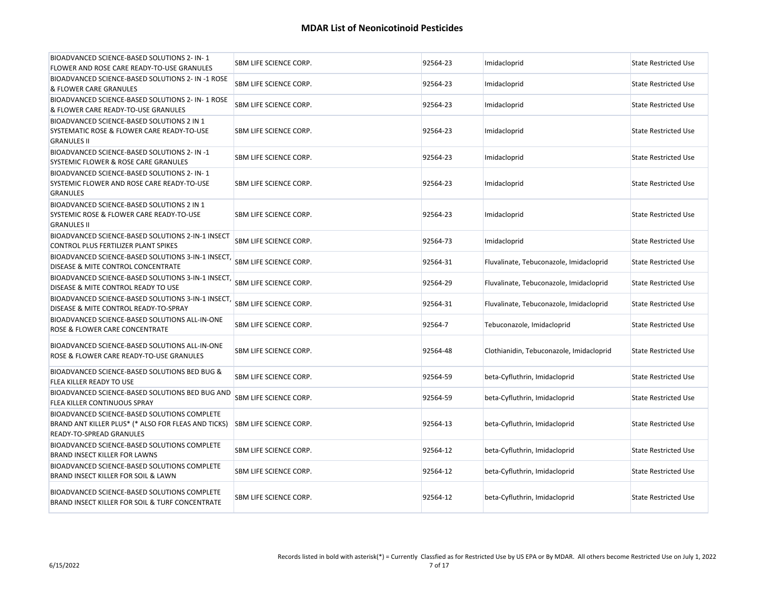| BIOADVANCED SCIENCE-BASED SOLUTIONS 2- IN-1<br>FLOWER AND ROSE CARE READY-TO-USE GRANULES                                       | SBM LIFE SCIENCE CORP.        | 92564-23 | Imidacloprid                             | <b>State Restricted Use</b> |
|---------------------------------------------------------------------------------------------------------------------------------|-------------------------------|----------|------------------------------------------|-----------------------------|
| BIOADVANCED SCIENCE-BASED SOLUTIONS 2- IN -1 ROSE<br>& FLOWER CARE GRANULES                                                     | SBM LIFE SCIENCE CORP.        | 92564-23 | Imidacloprid                             | <b>State Restricted Use</b> |
| BIOADVANCED SCIENCE-BASED SOLUTIONS 2- IN-1 ROSE<br>& FLOWER CARE READY-TO-USE GRANULES                                         | SBM LIFE SCIENCE CORP.        | 92564-23 | Imidacloprid                             | <b>State Restricted Use</b> |
| BIOADVANCED SCIENCE-BASED SOLUTIONS 2 IN 1<br>SYSTEMATIC ROSE & FLOWER CARE READY-TO-USE<br><b>GRANULES II</b>                  | SBM LIFE SCIENCE CORP.        | 92564-23 | Imidacloprid                             | <b>State Restricted Use</b> |
| BIOADVANCED SCIENCE-BASED SOLUTIONS 2- IN -1<br>SYSTEMIC FLOWER & ROSE CARE GRANULES                                            | SBM LIFE SCIENCE CORP.        | 92564-23 | Imidacloprid                             | <b>State Restricted Use</b> |
| BIOADVANCED SCIENCE-BASED SOLUTIONS 2- IN-1<br>SYSTEMIC FLOWER AND ROSE CARE READY-TO-USE<br><b>GRANULES</b>                    | SBM LIFE SCIENCE CORP.        | 92564-23 | Imidacloprid                             | <b>State Restricted Use</b> |
| BIOADVANCED SCIENCE-BASED SOLUTIONS 2 IN 1<br>SYSTEMIC ROSE & FLOWER CARE READY-TO-USE<br><b>GRANULES II</b>                    | SBM LIFE SCIENCE CORP.        | 92564-23 | Imidacloprid                             | <b>State Restricted Use</b> |
| BIOADVANCED SCIENCE-BASED SOLUTIONS 2-IN-1 INSECT<br>CONTROL PLUS FERTILIZER PLANT SPIKES                                       | SBM LIFE SCIENCE CORP.        | 92564-73 | Imidacloprid                             | <b>State Restricted Use</b> |
| BIOADVANCED SCIENCE-BASED SOLUTIONS 3-IN-1 INSECT,<br>DISEASE & MITE CONTROL CONCENTRATE                                        | SBM LIFE SCIENCE CORP.        | 92564-31 | Fluvalinate, Tebuconazole, Imidacloprid  | <b>State Restricted Use</b> |
| BIOADVANCED SCIENCE-BASED SOLUTIONS 3-IN-1 INSECT.<br>DISEASE & MITE CONTROL READY TO USE                                       | SBM LIFE SCIENCE CORP.        | 92564-29 | Fluvalinate, Tebuconazole, Imidacloprid  | <b>State Restricted Use</b> |
| BIOADVANCED SCIENCE-BASED SOLUTIONS 3-IN-1 INSECT,<br>DISEASE & MITE CONTROL READY-TO-SPRAY                                     | SBM LIFE SCIENCE CORP.        | 92564-31 | Fluvalinate, Tebuconazole, Imidacloprid  | <b>State Restricted Use</b> |
| BIOADVANCED SCIENCE-BASED SOLUTIONS ALL-IN-ONE<br>ROSE & FLOWER CARE CONCENTRATE                                                | <b>SBM LIFE SCIENCE CORP.</b> | 92564-7  | Tebuconazole, Imidacloprid               | <b>State Restricted Use</b> |
| BIOADVANCED SCIENCE-BASED SOLUTIONS ALL-IN-ONE<br>ROSE & FLOWER CARE READY-TO-USE GRANULES                                      | <b>SBM LIFE SCIENCE CORP.</b> | 92564-48 | Clothianidin, Tebuconazole, Imidacloprid | <b>State Restricted Use</b> |
| BIOADVANCED SCIENCE-BASED SOLUTIONS BED BUG &<br>FLEA KILLER READY TO USE                                                       | SBM LIFE SCIENCE CORP.        | 92564-59 | beta-Cyfluthrin, Imidacloprid            | <b>State Restricted Use</b> |
| BIOADVANCED SCIENCE-BASED SOLUTIONS BED BUG AND<br>FLEA KILLER CONTINUOUS SPRAY                                                 | SBM LIFE SCIENCE CORP.        | 92564-59 | beta-Cyfluthrin, Imidacloprid            | <b>State Restricted Use</b> |
| BIOADVANCED SCIENCE-BASED SOLUTIONS COMPLETE<br>BRAND ANT KILLER PLUS* (* ALSO FOR FLEAS AND TICKS)<br>READY-TO-SPREAD GRANULES | <b>SBM LIFE SCIENCE CORP.</b> | 92564-13 | beta-Cyfluthrin, Imidacloprid            | <b>State Restricted Use</b> |
| BIOADVANCED SCIENCE-BASED SOLUTIONS COMPLETE<br>BRAND INSECT KILLER FOR LAWNS                                                   | SBM LIFE SCIENCE CORP.        | 92564-12 | beta-Cyfluthrin, Imidacloprid            | <b>State Restricted Use</b> |
| BIOADVANCED SCIENCE-BASED SOLUTIONS COMPLETE<br>BRAND INSECT KILLER FOR SOIL & LAWN                                             | SBM LIFE SCIENCE CORP.        | 92564-12 | beta-Cyfluthrin, Imidacloprid            | <b>State Restricted Use</b> |
| BIOADVANCED SCIENCE-BASED SOLUTIONS COMPLETE<br>BRAND INSECT KILLER FOR SOIL & TURF CONCENTRATE                                 | SBM LIFE SCIENCE CORP.        | 92564-12 | beta-Cyfluthrin, Imidacloprid            | <b>State Restricted Use</b> |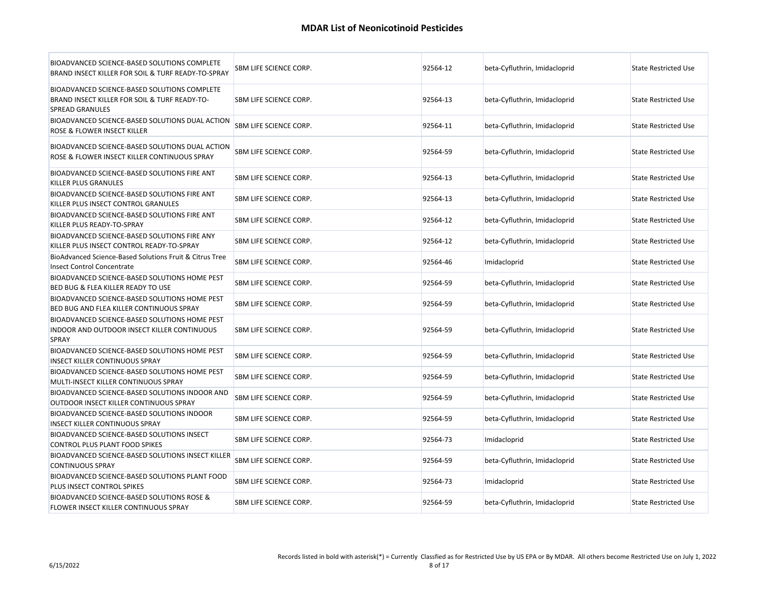| BIOADVANCED SCIENCE-BASED SOLUTIONS COMPLETE<br>BRAND INSECT KILLER FOR SOIL & TURF READY-TO-SPRAY                      | SBM LIFE SCIENCE CORP.        | 92564-12 | beta-Cyfluthrin, Imidacloprid | <b>State Restricted Use</b> |
|-------------------------------------------------------------------------------------------------------------------------|-------------------------------|----------|-------------------------------|-----------------------------|
| BIOADVANCED SCIENCE-BASED SOLUTIONS COMPLETE<br>BRAND INSECT KILLER FOR SOIL & TURF READY-TO-<br><b>SPREAD GRANULES</b> | <b>SBM LIFE SCIENCE CORP.</b> | 92564-13 | beta-Cyfluthrin, Imidacloprid | <b>State Restricted Use</b> |
| BIOADVANCED SCIENCE-BASED SOLUTIONS DUAL ACTION<br>ROSE & FLOWER INSECT KILLER                                          | <b>SBM LIFE SCIENCE CORP.</b> | 92564-11 | beta-Cyfluthrin, Imidacloprid | <b>State Restricted Use</b> |
| BIOADVANCED SCIENCE-BASED SOLUTIONS DUAL ACTION<br>ROSE & FLOWER INSECT KILLER CONTINUOUS SPRAY                         | SBM LIFE SCIENCE CORP.        | 92564-59 | beta-Cyfluthrin, Imidacloprid | <b>State Restricted Use</b> |
| BIOADVANCED SCIENCE-BASED SOLUTIONS FIRE ANT<br>KILLER PLUS GRANULES                                                    | SBM LIFE SCIENCE CORP.        | 92564-13 | beta-Cyfluthrin, Imidacloprid | <b>State Restricted Use</b> |
| BIOADVANCED SCIENCE-BASED SOLUTIONS FIRE ANT<br>KILLER PLUS INSECT CONTROL GRANULES                                     | SBM LIFE SCIENCE CORP.        | 92564-13 | beta-Cyfluthrin, Imidacloprid | <b>State Restricted Use</b> |
| BIOADVANCED SCIENCE-BASED SOLUTIONS FIRE ANT<br>KILLER PLUS READY-TO-SPRAY                                              | SBM LIFE SCIENCE CORP.        | 92564-12 | beta-Cyfluthrin, Imidacloprid | <b>State Restricted Use</b> |
| BIOADVANCED SCIENCE-BASED SOLUTIONS FIRE ANY<br>KILLER PLUS INSECT CONTROL READY-TO-SPRAY                               | SBM LIFE SCIENCE CORP.        | 92564-12 | beta-Cyfluthrin, Imidacloprid | <b>State Restricted Use</b> |
| BioAdvanced Science-Based Solutions Fruit & Citrus Tree<br><b>Insect Control Concentrate</b>                            | SBM LIFE SCIENCE CORP.        | 92564-46 | Imidacloprid                  | <b>State Restricted Use</b> |
| BIOADVANCED SCIENCE-BASED SOLUTIONS HOME PEST<br>BED BUG & FLEA KILLER READY TO USE                                     | SBM LIFE SCIENCE CORP.        | 92564-59 | beta-Cyfluthrin, Imidacloprid | <b>State Restricted Use</b> |
| BIOADVANCED SCIENCE-BASED SOLUTIONS HOME PEST<br>BED BUG AND FLEA KILLER CONTINUOUS SPRAY                               | SBM LIFE SCIENCE CORP.        | 92564-59 | beta-Cyfluthrin, Imidacloprid | <b>State Restricted Use</b> |
| BIOADVANCED SCIENCE-BASED SOLUTIONS HOME PEST<br>INDOOR AND OUTDOOR INSECT KILLER CONTINUOUS<br><b>SPRAY</b>            | <b>SBM LIFE SCIENCE CORP.</b> | 92564-59 | beta-Cyfluthrin, Imidacloprid | <b>State Restricted Use</b> |
| BIOADVANCED SCIENCE-BASED SOLUTIONS HOME PEST<br><b>INSECT KILLER CONTINUOUS SPRAY</b>                                  | <b>SBM LIFE SCIENCE CORP.</b> | 92564-59 | beta-Cyfluthrin, Imidacloprid | <b>State Restricted Use</b> |
| BIOADVANCED SCIENCE-BASED SOLUTIONS HOME PEST<br>MULTI-INSECT KILLER CONTINUOUS SPRAY                                   | SBM LIFE SCIENCE CORP.        | 92564-59 | beta-Cyfluthrin, Imidacloprid | <b>State Restricted Use</b> |
| BIOADVANCED SCIENCE-BASED SOLUTIONS INDOOR AND<br>OUTDOOR INSECT KILLER CONTINUOUS SPRAY                                | SBM LIFE SCIENCE CORP.        | 92564-59 | beta-Cyfluthrin, Imidacloprid | <b>State Restricted Use</b> |
| BIOADVANCED SCIENCE-BASED SOLUTIONS INDOOR<br><b>INSECT KILLER CONTINUOUS SPRAY</b>                                     | <b>SBM LIFE SCIENCE CORP.</b> | 92564-59 | beta-Cyfluthrin, Imidacloprid | <b>State Restricted Use</b> |
| BIOADVANCED SCIENCE-BASED SOLUTIONS INSECT<br>CONTROL PLUS PLANT FOOD SPIKES                                            | SBM LIFE SCIENCE CORP.        | 92564-73 | Imidacloprid                  | <b>State Restricted Use</b> |
| BIOADVANCED SCIENCE-BASED SOLUTIONS INSECT KILLER<br><b>CONTINUOUS SPRAY</b>                                            | SBM LIFE SCIENCE CORP.        | 92564-59 | beta-Cyfluthrin, Imidacloprid | <b>State Restricted Use</b> |
| BIOADVANCED SCIENCE-BASED SOLUTIONS PLANT FOOD<br>PLUS INSECT CONTROL SPIKES                                            | SBM LIFE SCIENCE CORP.        | 92564-73 | Imidacloprid                  | <b>State Restricted Use</b> |
| BIOADVANCED SCIENCE-BASED SOLUTIONS ROSE &<br>FLOWER INSECT KILLER CONTINUOUS SPRAY                                     | SBM LIFE SCIENCE CORP.        | 92564-59 | beta-Cyfluthrin, Imidacloprid | <b>State Restricted Use</b> |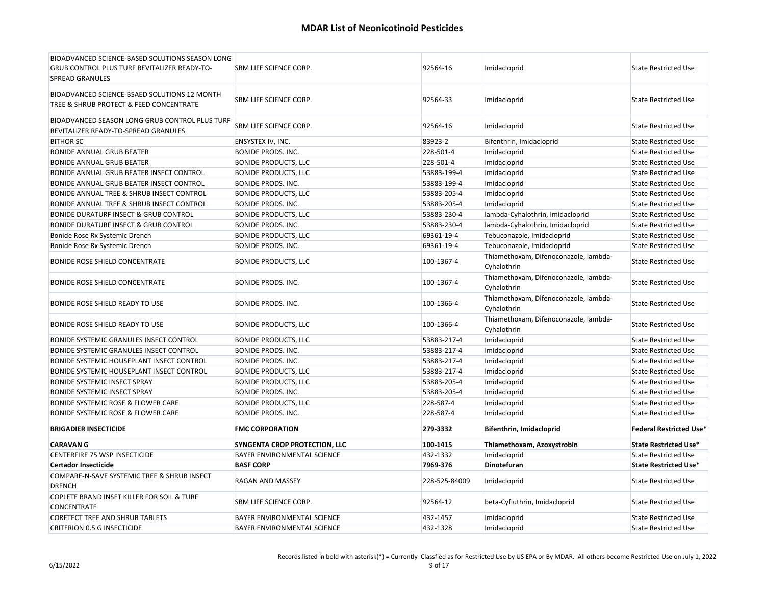| BIOADVANCED SCIENCE-BASED SOLUTIONS SEASON LONG                  |                                    |               |                                                      |                                |
|------------------------------------------------------------------|------------------------------------|---------------|------------------------------------------------------|--------------------------------|
| GRUB CONTROL PLUS TURF REVITALIZER READY-TO-                     | SBM LIFE SCIENCE CORP.             | 92564-16      | Imidacloprid                                         | <b>State Restricted Use</b>    |
| <b>SPREAD GRANULES</b>                                           |                                    |               |                                                      |                                |
| BIOADVANCED SCIENCE-BSAED SOLUTIONS 12 MONTH                     | SBM LIFE SCIENCE CORP.             | 92564-33      | Imidacloprid                                         | <b>State Restricted Use</b>    |
| TREE & SHRUB PROTECT & FEED CONCENTRATE                          |                                    |               |                                                      |                                |
| BIOADVANCED SEASON LONG GRUB CONTROL PLUS TURF                   |                                    |               |                                                      |                                |
| REVITALIZER READY-TO-SPREAD GRANULES                             | SBM LIFE SCIENCE CORP.             | 92564-16      | Imidacloprid                                         | <b>State Restricted Use</b>    |
| <b>BITHOR SC</b>                                                 | ENSYSTEX IV, INC.                  | 83923-2       | Bifenthrin, Imidacloprid                             | <b>State Restricted Use</b>    |
| <b>BONIDE ANNUAL GRUB BEATER</b>                                 | <b>BONIDE PRODS. INC.</b>          | 228-501-4     | Imidacloprid                                         | <b>State Restricted Use</b>    |
| <b>BONIDE ANNUAL GRUB BEATER</b>                                 | <b>BONIDE PRODUCTS, LLC</b>        | 228-501-4     | Imidacloprid                                         | <b>State Restricted Use</b>    |
| BONIDE ANNUAL GRUB BEATER INSECT CONTROL                         | <b>BONIDE PRODUCTS, LLC</b>        | 53883-199-4   | Imidacloprid                                         | <b>State Restricted Use</b>    |
| BONIDE ANNUAL GRUB BEATER INSECT CONTROL                         | <b>BONIDE PRODS. INC.</b>          | 53883-199-4   | Imidacloprid                                         | <b>State Restricted Use</b>    |
| BONIDE ANNUAL TREE & SHRUB INSECT CONTROL                        | <b>BONIDE PRODUCTS, LLC</b>        | 53883-205-4   | Imidacloprid                                         | <b>State Restricted Use</b>    |
| BONIDE ANNUAL TREE & SHRUB INSECT CONTROL                        | <b>BONIDE PRODS. INC.</b>          | 53883-205-4   | Imidacloprid                                         | <b>State Restricted Use</b>    |
| BONIDE DURATURF INSECT & GRUB CONTROL                            | <b>BONIDE PRODUCTS, LLC</b>        | 53883-230-4   | lambda-Cyhalothrin, Imidacloprid                     | <b>State Restricted Use</b>    |
| BONIDE DURATURF INSECT & GRUB CONTROL                            | <b>BONIDE PRODS. INC.</b>          | 53883-230-4   | lambda-Cyhalothrin, Imidacloprid                     | <b>State Restricted Use</b>    |
| Bonide Rose Rx Systemic Drench                                   | <b>BONIDE PRODUCTS, LLC</b>        | 69361-19-4    | Tebuconazole, Imidacloprid                           | <b>State Restricted Use</b>    |
| Bonide Rose Rx Systemic Drench                                   | <b>BONIDE PRODS. INC.</b>          | 69361-19-4    | Tebuconazole, Imidacloprid                           | <b>State Restricted Use</b>    |
| <b>BONIDE ROSE SHIELD CONCENTRATE</b>                            | <b>BONIDE PRODUCTS, LLC</b>        | 100-1367-4    | Thiamethoxam, Difenoconazole, lambda-<br>Cyhalothrin | <b>State Restricted Use</b>    |
| <b>BONIDE ROSE SHIELD CONCENTRATE</b>                            | <b>BONIDE PRODS. INC.</b>          | 100-1367-4    | Thiamethoxam, Difenoconazole, lambda-<br>Cyhalothrin | <b>State Restricted Use</b>    |
| <b>BONIDE ROSE SHIELD READY TO USE</b>                           | <b>BONIDE PRODS. INC.</b>          | 100-1366-4    | Thiamethoxam, Difenoconazole, lambda-<br>Cyhalothrin | <b>State Restricted Use</b>    |
| BONIDE ROSE SHIELD READY TO USE                                  | <b>BONIDE PRODUCTS, LLC</b>        | 100-1366-4    | Thiamethoxam, Difenoconazole, lambda-<br>Cyhalothrin | <b>State Restricted Use</b>    |
| BONIDE SYSTEMIC GRANULES INSECT CONTROL                          | <b>BONIDE PRODUCTS, LLC</b>        | 53883-217-4   | Imidacloprid                                         | <b>State Restricted Use</b>    |
| BONIDE SYSTEMIC GRANULES INSECT CONTROL                          | <b>BONIDE PRODS. INC.</b>          | 53883-217-4   | Imidacloprid                                         | <b>State Restricted Use</b>    |
| BONIDE SYSTEMIC HOUSEPLANT INSECT CONTROL                        | <b>BONIDE PRODS. INC.</b>          | 53883-217-4   | Imidacloprid                                         | <b>State Restricted Use</b>    |
| BONIDE SYSTEMIC HOUSEPLANT INSECT CONTROL                        | <b>BONIDE PRODUCTS, LLC</b>        | 53883-217-4   | Imidacloprid                                         | <b>State Restricted Use</b>    |
| <b>BONIDE SYSTEMIC INSECT SPRAY</b>                              | <b>BONIDE PRODUCTS, LLC</b>        | 53883-205-4   | Imidacloprid                                         | <b>State Restricted Use</b>    |
| BONIDE SYSTEMIC INSECT SPRAY                                     | <b>BONIDE PRODS. INC.</b>          | 53883-205-4   | Imidacloprid                                         | <b>State Restricted Use</b>    |
| BONIDE SYSTEMIC ROSE & FLOWER CARE                               | <b>BONIDE PRODUCTS, LLC</b>        | 228-587-4     | Imidacloprid                                         | <b>State Restricted Use</b>    |
| <b>BONIDE SYSTEMIC ROSE &amp; FLOWER CARE</b>                    | <b>BONIDE PRODS. INC.</b>          | 228-587-4     | Imidacloprid                                         | <b>State Restricted Use</b>    |
| <b>BRIGADIER INSECTICIDE</b>                                     | <b>FMC CORPORATION</b>             | 279-3332      | Bifenthrin, Imidacloprid                             | <b>Federal Restricted Use*</b> |
| <b>CARAVAN G</b>                                                 | SYNGENTA CROP PROTECTION, LLC      | 100-1415      | Thiamethoxam, Azoxystrobin                           | <b>State Restricted Use*</b>   |
| CENTERFIRE 75 WSP INSECTICIDE                                    | BAYER ENVIRONMENTAL SCIENCE        | 432-1332      | Imidacloprid                                         | <b>State Restricted Use</b>    |
| <b>Certador Insecticide</b>                                      | <b>BASF CORP</b>                   | 7969-376      | Dinotefuran                                          | <b>State Restricted Use*</b>   |
| COMPARE-N-SAVE SYSTEMIC TREE & SHRUB INSECT<br><b>DRENCH</b>     | RAGAN AND MASSEY                   | 228-525-84009 | Imidacloprid                                         | <b>State Restricted Use</b>    |
| COPLETE BRAND INSET KILLER FOR SOIL & TURF<br><b>CONCENTRATE</b> | SBM LIFE SCIENCE CORP.             | 92564-12      | beta-Cyfluthrin, Imidacloprid                        | <b>State Restricted Use</b>    |
| <b>CORETECT TREE AND SHRUB TABLETS</b>                           | BAYER ENVIRONMENTAL SCIENCE        | 432-1457      | Imidacloprid                                         | <b>State Restricted Use</b>    |
| <b>CRITERION 0.5 G INSECTICIDE</b>                               | <b>BAYER ENVIRONMENTAL SCIENCE</b> | 432-1328      | Imidacloprid                                         | <b>State Restricted Use</b>    |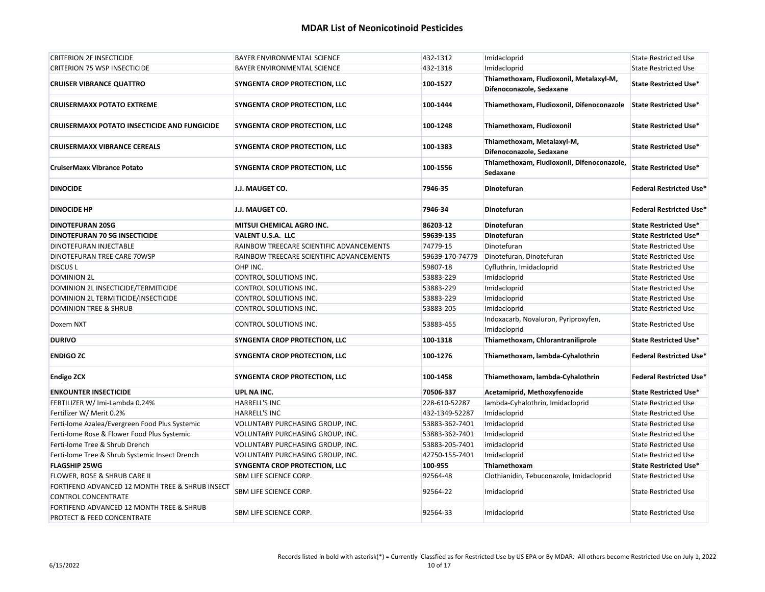| <b>CRITERION 2F INSECTICIDE</b>                                               | <b>BAYER ENVIRONMENTAL SCIENCE</b>       | 432-1312        | Imidacloprid                                                        | <b>State Restricted Use</b>    |
|-------------------------------------------------------------------------------|------------------------------------------|-----------------|---------------------------------------------------------------------|--------------------------------|
| <b>CRITERION 75 WSP INSECTICIDE</b>                                           | BAYER ENVIRONMENTAL SCIENCE              | 432-1318        | Imidacloprid                                                        | <b>State Restricted Use</b>    |
| <b>CRUISER VIBRANCE QUATTRO</b>                                               | SYNGENTA CROP PROTECTION, LLC            | 100-1527        | Thiamethoxam, Fludioxonil, Metalaxyl-M,<br>Difenoconazole, Sedaxane | <b>State Restricted Use*</b>   |
| <b>CRUISERMAXX POTATO EXTREME</b>                                             | SYNGENTA CROP PROTECTION, LLC            | 100-1444        | Thiamethoxam, Fludioxonil, Difenoconazole                           | <b>State Restricted Use*</b>   |
| <b>CRUISERMAXX POTATO INSECTICIDE AND FUNGICIDE</b>                           | SYNGENTA CROP PROTECTION, LLC            | 100-1248        | Thiamethoxam, Fludioxonil                                           | <b>State Restricted Use*</b>   |
| <b>CRUISERMAXX VIBRANCE CEREALS</b>                                           | SYNGENTA CROP PROTECTION, LLC            | 100-1383        | Thiamethoxam, Metalaxyl-M,<br>Difenoconazole, Sedaxane              | <b>State Restricted Use*</b>   |
| <b>CruiserMaxx Vibrance Potato</b>                                            | SYNGENTA CROP PROTECTION, LLC            | 100-1556        | Thiamethoxam, Fludioxonil, Difenoconazole,<br>Sedaxane              | <b>State Restricted Use*</b>   |
| <b>DINOCIDE</b>                                                               | J.J. MAUGET CO.                          | 7946-35         | Dinotefuran                                                         | <b>Federal Restricted Use*</b> |
| <b>DINOCIDE HP</b>                                                            | J.J. MAUGET CO.                          | 7946-34         | <b>Dinotefuran</b>                                                  | <b>Federal Restricted Use*</b> |
| <b>DINOTEFURAN 20SG</b>                                                       | MITSUI CHEMICAL AGRO INC.                | 86203-12        | Dinotefuran                                                         | <b>State Restricted Use*</b>   |
| DINOTEFURAN 70 SG INSECTICIDE                                                 | VALENT U.S.A. LLC                        | 59639-135       | Dinotefuran                                                         | State Restricted Use*          |
| DINOTEFURAN INJECTABLE                                                        | RAINBOW TREECARE SCIENTIFIC ADVANCEMENTS | 74779-15        | Dinotefuran                                                         | <b>State Restricted Use</b>    |
| DINOTEFURAN TREE CARE 70WSP                                                   | RAINBOW TREECARE SCIENTIFIC ADVANCEMENTS | 59639-170-74779 | Dinotefuran, Dinotefuran                                            | <b>State Restricted Use</b>    |
| <b>DISCUS L</b>                                                               | OHP INC.                                 | 59807-18        | Cyfluthrin, Imidacloprid                                            | <b>State Restricted Use</b>    |
| <b>DOMINION 2L</b>                                                            | CONTROL SOLUTIONS INC.                   | 53883-229       | Imidacloprid                                                        | <b>State Restricted Use</b>    |
| DOMINION 2L INSECTICIDE/TERMITICIDE                                           | CONTROL SOLUTIONS INC.                   | 53883-229       | Imidacloprid                                                        | <b>State Restricted Use</b>    |
| DOMINION 2L TERMITICIDE/INSECTICIDE                                           | CONTROL SOLUTIONS INC.                   | 53883-229       | Imidacloprid                                                        | <b>State Restricted Use</b>    |
| DOMINION TREE & SHRUB                                                         | CONTROL SOLUTIONS INC.                   | 53883-205       | Imidacloprid                                                        | <b>State Restricted Use</b>    |
| Doxem NXT                                                                     | CONTROL SOLUTIONS INC.                   | 53883-455       | Indoxacarb, Novaluron, Pyriproxyfen,<br>Imidacloprid                | <b>State Restricted Use</b>    |
| <b>DURIVO</b>                                                                 | SYNGENTA CROP PROTECTION, LLC            | 100-1318        | Thiamethoxam, Chlorantraniliprole                                   | <b>State Restricted Use*</b>   |
| <b>ENDIGO ZC</b>                                                              | SYNGENTA CROP PROTECTION, LLC            | 100-1276        | Thiamethoxam, lambda-Cyhalothrin                                    | <b>Federal Restricted Use*</b> |
| <b>Endigo ZCX</b>                                                             | SYNGENTA CROP PROTECTION, LLC            | 100-1458        | Thiamethoxam, lambda-Cyhalothrin                                    | <b>Federal Restricted Use*</b> |
| <b>ENKOUNTER INSECTICIDE</b>                                                  | UPL NA INC.                              | 70506-337       | Acetamiprid, Methoxyfenozide                                        | <b>State Restricted Use*</b>   |
| FERTILIZER W/ Imi-Lambda 0.24%                                                | <b>HARRELL'S INC</b>                     | 228-610-52287   | lambda-Cyhalothrin, Imidacloprid                                    | <b>State Restricted Use</b>    |
| Fertilizer W/ Merit 0.2%                                                      | <b>HARRELL'S INC</b>                     | 432-1349-52287  | Imidacloprid                                                        | <b>State Restricted Use</b>    |
| Ferti-lome Azalea/Evergreen Food Plus Systemic                                | VOLUNTARY PURCHASING GROUP, INC.         | 53883-362-7401  | Imidacloprid                                                        | <b>State Restricted Use</b>    |
| Ferti-lome Rose & Flower Food Plus Systemic                                   | VOLUNTARY PURCHASING GROUP, INC.         | 53883-362-7401  | Imidacloprid                                                        | <b>State Restricted Use</b>    |
| Ferti-lome Tree & Shrub Drench                                                | VOLUNTARY PURCHASING GROUP, INC.         | 53883-205-7401  | imidacloprid                                                        | <b>State Restricted Use</b>    |
| Ferti-lome Tree & Shrub Systemic Insect Drench                                | VOLUNTARY PURCHASING GROUP, INC.         | 42750-155-7401  | Imidacloprid                                                        | <b>State Restricted Use</b>    |
| <b>FLAGSHIP 25WG</b>                                                          | SYNGENTA CROP PROTECTION, LLC            | 100-955         | Thiamethoxam                                                        | State Restricted Use*          |
| FLOWER, ROSE & SHRUB CARE II                                                  | SBM LIFE SCIENCE CORP.                   | 92564-48        | Clothianidin, Tebuconazole, Imidacloprid                            | <b>State Restricted Use</b>    |
| FORTIFEND ADVANCED 12 MONTH TREE & SHRUB INSECT<br><b>CONTROL CONCENTRATE</b> | SBM LIFE SCIENCE CORP.                   | 92564-22        | Imidacloprid                                                        | <b>State Restricted Use</b>    |
| FORTIFEND ADVANCED 12 MONTH TREE & SHRUB<br>PROTECT & FEED CONCENTRATE        | <b>SBM LIFE SCIENCE CORP.</b>            | 92564-33        | Imidacloprid                                                        | <b>State Restricted Use</b>    |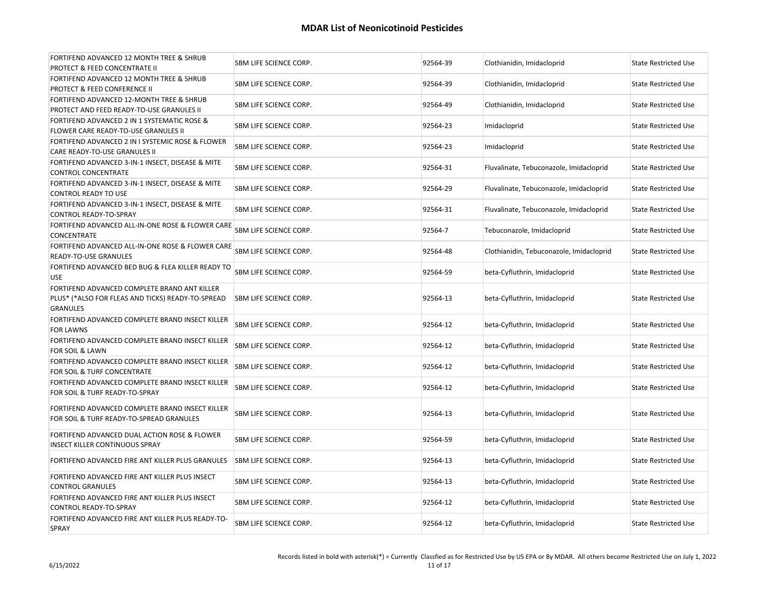| FORTIFEND ADVANCED 12 MONTH TREE & SHRUB                                                                             | SBM LIFE SCIENCE CORP.        | 92564-39 | Clothianidin, Imidacloprid               | <b>State Restricted Use</b> |
|----------------------------------------------------------------------------------------------------------------------|-------------------------------|----------|------------------------------------------|-----------------------------|
| <b>PROTECT &amp; FEED CONCENTRATE II</b>                                                                             |                               |          |                                          |                             |
| FORTIFEND ADVANCED 12 MONTH TREE & SHRUB<br>PROTECT & FEED CONFERENCE II                                             | SBM LIFE SCIENCE CORP.        | 92564-39 | Clothianidin, Imidacloprid               | <b>State Restricted Use</b> |
| FORTIFEND ADVANCED 12-MONTH TREE & SHRUB<br>PROTECT AND FEED READY-TO-USE GRANULES II                                | SBM LIFE SCIENCE CORP.        | 92564-49 | Clothianidin, Imidacloprid               | <b>State Restricted Use</b> |
| FORTIFEND ADVANCED 2 IN 1 SYSTEMATIC ROSE &<br>FLOWER CARE READY-TO-USE GRANULES II                                  | SBM LIFE SCIENCE CORP.        | 92564-23 | Imidacloprid                             | <b>State Restricted Use</b> |
| FORTIFEND ADVANCED 2 IN I SYSTEMIC ROSE & FLOWER<br>CARE READY-TO-USE GRANULES II                                    | SBM LIFE SCIENCE CORP.        | 92564-23 | Imidacloprid                             | <b>State Restricted Use</b> |
| FORTIFEND ADVANCED 3-IN-1 INSECT, DISEASE & MITE<br>CONTROL CONCENTRATE                                              | SBM LIFE SCIENCE CORP.        | 92564-31 | Fluvalinate, Tebuconazole, Imidacloprid  | <b>State Restricted Use</b> |
| FORTIFEND ADVANCED 3-IN-1 INSECT, DISEASE & MITE<br><b>CONTROL READY TO USE</b>                                      | SBM LIFE SCIENCE CORP.        | 92564-29 | Fluvalinate, Tebuconazole, Imidacloprid  | <b>State Restricted Use</b> |
| FORTIFEND ADVANCED 3-IN-1 INSECT, DISEASE & MITE<br>CONTROL READY-TO-SPRAY                                           | SBM LIFE SCIENCE CORP.        | 92564-31 | Fluvalinate, Tebuconazole, Imidacloprid  | <b>State Restricted Use</b> |
| FORTIFEND ADVANCED ALL-IN-ONE ROSE & FLOWER CARE<br>CONCENTRATE                                                      | SBM LIFE SCIENCE CORP.        | 92564-7  | Tebuconazole, Imidacloprid               | <b>State Restricted Use</b> |
| FORTIFEND ADVANCED ALL-IN-ONE ROSE & FLOWER CARE<br>READY-TO-USE GRANULES                                            | SBM LIFE SCIENCE CORP.        | 92564-48 | Clothianidin, Tebuconazole, Imidacloprid | <b>State Restricted Use</b> |
| FORTIFEND ADVANCED BED BUG & FLEA KILLER READY TO<br><b>USE</b>                                                      | SBM LIFE SCIENCE CORP.        | 92564-59 | beta-Cyfluthrin, Imidacloprid            | <b>State Restricted Use</b> |
| FORTIFEND ADVANCED COMPLETE BRAND ANT KILLER<br>PLUS* (*ALSO FOR FLEAS AND TICKS) READY-TO-SPREAD<br><b>GRANULES</b> | <b>SBM LIFE SCIENCE CORP.</b> | 92564-13 | beta-Cyfluthrin, Imidacloprid            | <b>State Restricted Use</b> |
| FORTIFEND ADVANCED COMPLETE BRAND INSECT KILLER<br>FOR LAWNS                                                         | SBM LIFE SCIENCE CORP.        | 92564-12 | beta-Cyfluthrin, Imidacloprid            | <b>State Restricted Use</b> |
| FORTIFEND ADVANCED COMPLETE BRAND INSECT KILLER<br>FOR SOIL & LAWN                                                   | <b>SBM LIFE SCIENCE CORP.</b> | 92564-12 | beta-Cyfluthrin, Imidacloprid            | <b>State Restricted Use</b> |
| FORTIFEND ADVANCED COMPLETE BRAND INSECT KILLER<br>FOR SOIL & TURF CONCENTRATE                                       | SBM LIFE SCIENCE CORP.        | 92564-12 | beta-Cyfluthrin, Imidacloprid            | <b>State Restricted Use</b> |
| FORTIFEND ADVANCED COMPLETE BRAND INSECT KILLER<br>FOR SOIL & TURF READY-TO-SPRAY                                    | SBM LIFE SCIENCE CORP.        | 92564-12 | beta-Cyfluthrin, Imidacloprid            | <b>State Restricted Use</b> |
| FORTIFEND ADVANCED COMPLETE BRAND INSECT KILLER<br>FOR SOIL & TURF READY-TO-SPREAD GRANULES                          | SBM LIFE SCIENCE CORP.        | 92564-13 | beta-Cyfluthrin, Imidacloprid            | <b>State Restricted Use</b> |
| FORTIFEND ADVANCED DUAL ACTION ROSE & FLOWER<br>INSECT KILLER CONTINUOUS SPRAY                                       | SBM LIFE SCIENCE CORP.        | 92564-59 | beta-Cyfluthrin, Imidacloprid            | <b>State Restricted Use</b> |
| FORTIFEND ADVANCED FIRE ANT KILLER PLUS GRANULES                                                                     | <b>SBM LIFE SCIENCE CORP.</b> | 92564-13 | beta-Cyfluthrin, Imidacloprid            | <b>State Restricted Use</b> |
| FORTIFEND ADVANCED FIRE ANT KILLER PLUS INSECT<br><b>CONTROL GRANULES</b>                                            | <b>SBM LIFE SCIENCE CORP.</b> | 92564-13 | beta-Cyfluthrin, Imidacloprid            | <b>State Restricted Use</b> |
| FORTIFEND ADVANCED FIRE ANT KILLER PLUS INSECT<br>CONTROL READY-TO-SPRAY                                             | SBM LIFE SCIENCE CORP.        | 92564-12 | beta-Cyfluthrin, Imidacloprid            | <b>State Restricted Use</b> |
| FORTIFEND ADVANCED FIRE ANT KILLER PLUS READY-TO-<br>SPRAY                                                           | SBM LIFE SCIENCE CORP.        | 92564-12 | beta-Cyfluthrin, Imidacloprid            | <b>State Restricted Use</b> |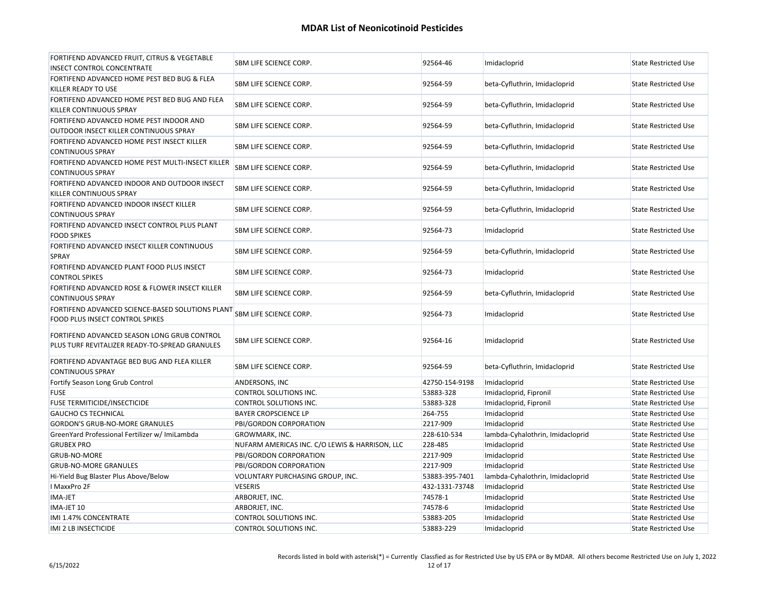| FORTIFEND ADVANCED FRUIT, CITRUS & VEGETABLE<br><b>INSECT CONTROL CONCENTRATE</b>             | <b>SBM LIFE SCIENCE CORP.</b>                  | 92564-46       | Imidacloprid                     | <b>State Restricted Use</b> |
|-----------------------------------------------------------------------------------------------|------------------------------------------------|----------------|----------------------------------|-----------------------------|
| FORTIFEND ADVANCED HOME PEST BED BUG & FLEA<br>KILLER READY TO USE                            | SBM LIFE SCIENCE CORP.                         | 92564-59       | beta-Cyfluthrin, Imidacloprid    | <b>State Restricted Use</b> |
| FORTIFEND ADVANCED HOME PEST BED BUG AND FLEA<br>KILLER CONTINUOUS SPRAY                      | SBM LIFE SCIENCE CORP.                         | 92564-59       | beta-Cyfluthrin, Imidacloprid    | <b>State Restricted Use</b> |
| FORTIFEND ADVANCED HOME PEST INDOOR AND<br>OUTDOOR INSECT KILLER CONTINUOUS SPRAY             | SBM LIFE SCIENCE CORP.                         | 92564-59       | beta-Cyfluthrin, Imidacloprid    | <b>State Restricted Use</b> |
| FORTIFEND ADVANCED HOME PEST INSECT KILLER<br><b>CONTINUOUS SPRAY</b>                         | SBM LIFE SCIENCE CORP.                         | 92564-59       | beta-Cyfluthrin, Imidacloprid    | <b>State Restricted Use</b> |
| FORTIFEND ADVANCED HOME PEST MULTI-INSECT KILLER<br><b>CONTINUOUS SPRAY</b>                   | <b>SBM LIFE SCIENCE CORP.</b>                  | 92564-59       | beta-Cyfluthrin, Imidacloprid    | <b>State Restricted Use</b> |
| FORTIFEND ADVANCED INDOOR AND OUTDOOR INSECT<br>KILLER CONTINUOUS SPRAY                       | SBM LIFE SCIENCE CORP.                         | 92564-59       | beta-Cyfluthrin, Imidacloprid    | <b>State Restricted Use</b> |
| FORTIFEND ADVANCED INDOOR INSECT KILLER<br><b>CONTINUOUS SPRAY</b>                            | SBM LIFE SCIENCE CORP.                         | 92564-59       | beta-Cyfluthrin, Imidacloprid    | <b>State Restricted Use</b> |
| FORTIFEND ADVANCED INSECT CONTROL PLUS PLANT<br><b>FOOD SPIKES</b>                            | <b>SBM LIFE SCIENCE CORP.</b>                  | 92564-73       | Imidacloprid                     | <b>State Restricted Use</b> |
| FORTIFEND ADVANCED INSECT KILLER CONTINUOUS<br><b>SPRAY</b>                                   | <b>SBM LIFE SCIENCE CORP.</b>                  | 92564-59       | beta-Cyfluthrin, Imidacloprid    | <b>State Restricted Use</b> |
| FORTIFEND ADVANCED PLANT FOOD PLUS INSECT<br><b>CONTROL SPIKES</b>                            | SBM LIFE SCIENCE CORP.                         | 92564-73       | Imidacloprid                     | <b>State Restricted Use</b> |
| FORTIFEND ADVANCED ROSE & FLOWER INSECT KILLER<br><b>CONTINUOUS SPRAY</b>                     | <b>SBM LIFE SCIENCE CORP.</b>                  | 92564-59       | beta-Cyfluthrin, Imidacloprid    | <b>State Restricted Use</b> |
| FORTIFEND ADVANCED SCIENCE-BASED SOLUTIONS PLANT<br>FOOD PLUS INSECT CONTROL SPIKES           | SBM LIFE SCIENCE CORP.                         | 92564-73       | Imidacloprid                     | <b>State Restricted Use</b> |
| FORTIFEND ADVANCED SEASON LONG GRUB CONTROL<br>PLUS TURF REVITALIZER READY-TO-SPREAD GRANULES | <b>SBM LIFE SCIENCE CORP.</b>                  | 92564-16       | Imidacloprid                     | <b>State Restricted Use</b> |
| FORTIFEND ADVANTAGE BED BUG AND FLEA KILLER<br><b>CONTINUOUS SPRAY</b>                        | <b>SBM LIFE SCIENCE CORP.</b>                  | 92564-59       | beta-Cyfluthrin, Imidacloprid    | <b>State Restricted Use</b> |
| Fortify Season Long Grub Control                                                              | <b>ANDERSONS, INC</b>                          | 42750-154-9198 | Imidacloprid                     | <b>State Restricted Use</b> |
| <b>FUSE</b>                                                                                   | CONTROL SOLUTIONS INC.                         | 53883-328      | Imidacloprid, Fipronil           | <b>State Restricted Use</b> |
| FUSE TERMITICIDE/INSECTICIDE                                                                  | CONTROL SOLUTIONS INC.                         | 53883-328      | Imidacloprid, Fipronil           | <b>State Restricted Use</b> |
| <b>GAUCHO CS TECHNICAL</b>                                                                    | <b>BAYER CROPSCIENCE LP</b>                    | 264-755        | Imidacloprid                     | <b>State Restricted Use</b> |
| <b>GORDON'S GRUB-NO-MORE GRANULES</b>                                                         | PBI/GORDON CORPORATION                         | 2217-909       | Imidacloprid                     | <b>State Restricted Use</b> |
| GreenYard Professional Fertilizer w/ ImiLambda                                                | GROWMARK, INC.                                 | 228-610-534    | lambda-Cyhalothrin, Imidacloprid | <b>State Restricted Use</b> |
| <b>GRUBEX PRO</b>                                                                             | NUFARM AMERICAS INC. C/O LEWIS & HARRISON, LLC | 228-485        | Imidacloprid                     | <b>State Restricted Use</b> |
| <b>GRUB-NO-MORE</b>                                                                           | PBI/GORDON CORPORATION                         | 2217-909       | Imidacloprid                     | <b>State Restricted Use</b> |
| <b>GRUB-NO-MORE GRANULES</b>                                                                  | PBI/GORDON CORPORATION                         | 2217-909       | Imidacloprid                     | <b>State Restricted Use</b> |
| Hi-Yield Bug Blaster Plus Above/Below                                                         | VOLUNTARY PURCHASING GROUP, INC.               | 53883-395-7401 | lambda-Cyhalothrin, Imidacloprid | <b>State Restricted Use</b> |
| I MaxxPro 2F                                                                                  | <b>VESERIS</b>                                 | 432-1331-73748 | Imidacloprid                     | <b>State Restricted Use</b> |
| IMA-JET                                                                                       | ARBORJET, INC.                                 | 74578-1        | Imidacloprid                     | <b>State Restricted Use</b> |
| IMA-JET 10                                                                                    | ARBORJET, INC.                                 | 74578-6        | Imidacloprid                     | <b>State Restricted Use</b> |
| IMI 1.47% CONCENTRATE                                                                         | CONTROL SOLUTIONS INC.                         | 53883-205      | Imidacloprid                     | <b>State Restricted Use</b> |
| IMI 2 LB INSECTICIDE                                                                          | CONTROL SOLUTIONS INC.                         | 53883-229      | Imidacloprid                     | <b>State Restricted Use</b> |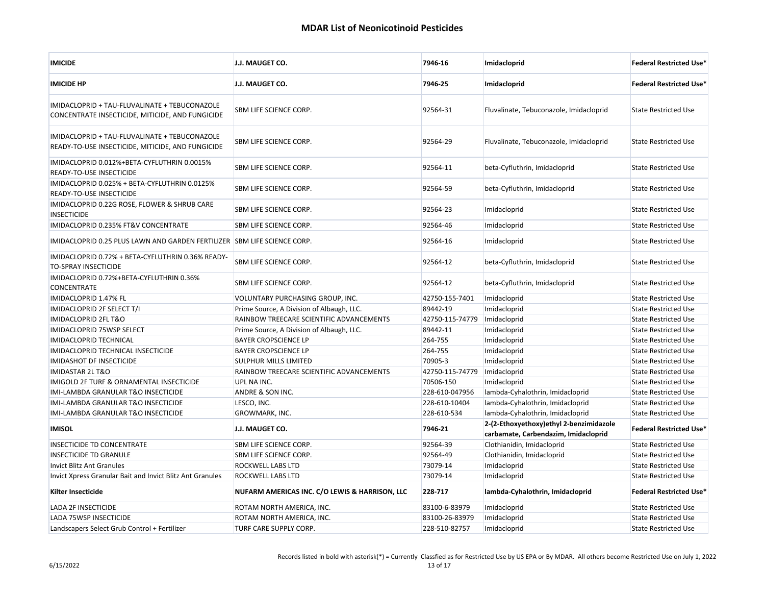| <b>IMICIDE</b>                                                                                     | J.J. MAUGET CO.                                | 7946-16         | Imidacloprid                                                                    | <b>Federal Restricted Use*</b> |
|----------------------------------------------------------------------------------------------------|------------------------------------------------|-----------------|---------------------------------------------------------------------------------|--------------------------------|
| <b>IMICIDE HP</b>                                                                                  | J.J. MAUGET CO.                                | 7946-25         | Imidacloprid                                                                    | <b>Federal Restricted Use*</b> |
| IMIDACLOPRID + TAU-FLUVALINATE + TEBUCONAZOLE<br>CONCENTRATE INSECTICIDE, MITICIDE, AND FUNGICIDE  | <b>SBM LIFE SCIENCE CORP.</b>                  | 92564-31        | Fluvalinate, Tebuconazole, Imidacloprid                                         | <b>State Restricted Use</b>    |
| IMIDACLOPRID + TAU-FLUVALINATE + TEBUCONAZOLE<br>READY-TO-USE INSECTICIDE, MITICIDE, AND FUNGICIDE | <b>SBM LIFE SCIENCE CORP.</b>                  | 92564-29        | Fluvalinate, Tebuconazole, Imidacloprid                                         | <b>State Restricted Use</b>    |
| IMIDACLOPRID 0.012%+BETA-CYFLUTHRIN 0.0015%<br>READY-TO-USE INSECTICIDE                            | SBM LIFE SCIENCE CORP.                         | 92564-11        | beta-Cyfluthrin, Imidacloprid                                                   | <b>State Restricted Use</b>    |
| IMIDACLOPRID 0.025% + BETA-CYFLUTHRIN 0.0125%<br>READY-TO-USE INSECTICIDE                          | <b>SBM LIFE SCIENCE CORP.</b>                  | 92564-59        | beta-Cyfluthrin, Imidacloprid                                                   | <b>State Restricted Use</b>    |
| IMIDACLOPRID 0.22G ROSE, FLOWER & SHRUB CARE<br><b>INSECTICIDE</b>                                 | SBM LIFE SCIENCE CORP.                         | 92564-23        | Imidacloprid                                                                    | <b>State Restricted Use</b>    |
| IMIDACLOPRID 0.235% FT&V CONCENTRATE                                                               | <b>SBM LIFE SCIENCE CORP.</b>                  | 92564-46        | Imidacloprid                                                                    | <b>State Restricted Use</b>    |
| IMIDACLOPRID 0.25 PLUS LAWN AND GARDEN FERTILIZER SBM LIFE SCIENCE CORP.                           |                                                | 92564-16        | Imidacloprid                                                                    | <b>State Restricted Use</b>    |
| IMIDACLOPRID 0.72% + BETA-CYFLUTHRIN 0.36% READY-<br><b>TO-SPRAY INSECTICIDE</b>                   | SBM LIFE SCIENCE CORP.                         | 92564-12        | beta-Cyfluthrin, Imidacloprid                                                   | <b>State Restricted Use</b>    |
| IMIDACLOPRID 0.72%+BETA-CYFLUTHRIN 0.36%<br>CONCENTRATE                                            | SBM LIFE SCIENCE CORP.                         | 92564-12        | beta-Cyfluthrin, Imidacloprid                                                   | <b>State Restricted Use</b>    |
| IMIDACLOPRID 1.47% FL                                                                              | VOLUNTARY PURCHASING GROUP, INC.               | 42750-155-7401  | Imidacloprid                                                                    | <b>State Restricted Use</b>    |
| IMIDACLOPRID 2F SELECT T/I                                                                         | Prime Source, A Division of Albaugh, LLC.      | 89442-19        | Imidacloprid                                                                    | <b>State Restricted Use</b>    |
| IMIDACLOPRID 2FL T&O                                                                               | RAINBOW TREECARE SCIENTIFIC ADVANCEMENTS       | 42750-115-74779 | Imidacloprid                                                                    | <b>State Restricted Use</b>    |
| IMIDACLOPRID 75WSP SELECT                                                                          | Prime Source, A Division of Albaugh, LLC.      | 89442-11        | Imidacloprid                                                                    | <b>State Restricted Use</b>    |
| IMIDACLOPRID TECHNICAL                                                                             | <b>BAYER CROPSCIENCE LP</b>                    | 264-755         | Imidacloprid                                                                    | <b>State Restricted Use</b>    |
| IMIDACLOPRID TECHNICAL INSECTICIDE                                                                 | <b>BAYER CROPSCIENCE LP</b>                    | 264-755         | Imidacloprid                                                                    | <b>State Restricted Use</b>    |
| IMIDASHOT DF INSECTICIDE                                                                           | <b>SULPHUR MILLS LIMITED</b>                   | 70905-3         | Imidacloprid                                                                    | <b>State Restricted Use</b>    |
| IMIDASTAR 2L T&O                                                                                   | RAINBOW TREECARE SCIENTIFIC ADVANCEMENTS       | 42750-115-74779 | Imidacloprid                                                                    | <b>State Restricted Use</b>    |
| IMIGOLD 2F TURF & ORNAMENTAL INSECTICIDE                                                           | UPL NA INC.                                    | 70506-150       | Imidacloprid                                                                    | <b>State Restricted Use</b>    |
| IMI-LAMBDA GRANULAR T&O INSECTICIDE                                                                | ANDRE & SON INC.                               | 228-610-047956  | lambda-Cyhalothrin, Imidacloprid                                                | <b>State Restricted Use</b>    |
| IMI-LAMBDA GRANULAR T&O INSECTICIDE                                                                | LESCO, INC.                                    | 228-610-10404   | lambda-Cyhalothrin, Imidacloprid                                                | <b>State Restricted Use</b>    |
| IMI-LAMBDA GRANULAR T&O INSECTICIDE                                                                | GROWMARK, INC.                                 | 228-610-534     | lambda-Cyhalothrin, Imidacloprid                                                | <b>State Restricted Use</b>    |
| <b>IMISOL</b>                                                                                      | J.J. MAUGET CO.                                | 7946-21         | 2-(2-Ethoxyethoxy)ethyl 2-benzimidazole<br>carbamate, Carbendazim, Imidacloprid | <b>Federal Restricted Use*</b> |
| INSECTICIDE TD CONCENTRATE                                                                         | <b>SBM LIFE SCIENCE CORP.</b>                  | 92564-39        | Clothianidin, Imidacloprid                                                      | <b>State Restricted Use</b>    |
| <b>INSECTICIDE TD GRANULE</b>                                                                      | <b>SBM LIFE SCIENCE CORP.</b>                  | 92564-49        | Clothianidin, Imidacloprid                                                      | <b>State Restricted Use</b>    |
| <b>Invict Blitz Ant Granules</b>                                                                   | <b>ROCKWELL LABS LTD</b>                       | 73079-14        | Imidacloprid                                                                    | <b>State Restricted Use</b>    |
| Invict Xpress Granular Bait and Invict Blitz Ant Granules                                          | <b>ROCKWELL LABS LTD</b>                       | 73079-14        | Imidacloprid                                                                    | <b>State Restricted Use</b>    |
| Kilter Insecticide                                                                                 | NUFARM AMERICAS INC. C/O LEWIS & HARRISON, LLC | 228-717         | lambda-Cyhalothrin, Imidacloprid                                                | <b>Federal Restricted Use*</b> |
| <b>LADA 2F INSECTICIDE</b>                                                                         | ROTAM NORTH AMERICA, INC.                      | 83100-6-83979   | Imidacloprid                                                                    | <b>State Restricted Use</b>    |
| LADA 75WSP INSECTICIDE                                                                             | ROTAM NORTH AMERICA, INC.                      | 83100-26-83979  | Imidacloprid                                                                    | <b>State Restricted Use</b>    |
| Landscapers Select Grub Control + Fertilizer                                                       | TURF CARE SUPPLY CORP.                         | 228-510-82757   | Imidacloprid                                                                    | <b>State Restricted Use</b>    |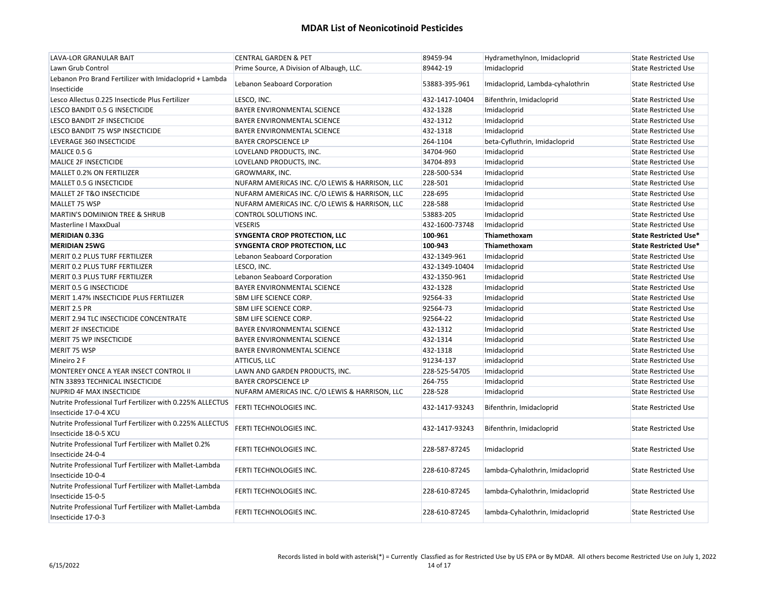| LAVA-LOR GRANULAR BAIT                                                              | <b>CENTRAL GARDEN &amp; PET</b>                | 89459-94       | Hydramethylnon, Imidacloprid     | <b>State Restricted Use</b>  |
|-------------------------------------------------------------------------------------|------------------------------------------------|----------------|----------------------------------|------------------------------|
| Lawn Grub Control                                                                   | Prime Source, A Division of Albaugh, LLC.      | 89442-19       | Imidacloprid                     | <b>State Restricted Use</b>  |
| Lebanon Pro Brand Fertilizer with Imidacloprid + Lambda                             |                                                |                |                                  |                              |
| Insecticide                                                                         | Lebanon Seaboard Corporation                   | 53883-395-961  | Imidacloprid, Lambda-cyhalothrin | <b>State Restricted Use</b>  |
| Lesco Allectus 0.225 Insecticde Plus Fertilizer                                     | LESCO, INC.                                    | 432-1417-10404 | Bifenthrin, Imidacloprid         | <b>State Restricted Use</b>  |
| LESCO BANDIT 0.5 G INSECTICIDE                                                      | BAYER ENVIRONMENTAL SCIENCE                    | 432-1328       | Imidacloprid                     | <b>State Restricted Use</b>  |
| LESCO BANDIT 2F INSECTICIDE                                                         | BAYER ENVIRONMENTAL SCIENCE                    | 432-1312       | Imidacloprid                     | <b>State Restricted Use</b>  |
| LESCO BANDIT 75 WSP INSECTICIDE                                                     | BAYER ENVIRONMENTAL SCIENCE                    | 432-1318       | Imidacloprid                     | <b>State Restricted Use</b>  |
| LEVERAGE 360 INSECTICIDE                                                            | <b>BAYER CROPSCIENCE LP</b>                    | 264-1104       | beta-Cyfluthrin, Imidacloprid    | <b>State Restricted Use</b>  |
| MALICE 0.5 G                                                                        | LOVELAND PRODUCTS, INC.                        | 34704-960      | Imidacloprid                     | <b>State Restricted Use</b>  |
| MALICE 2F INSECTICIDE                                                               | LOVELAND PRODUCTS, INC.                        | 34704-893      | Imidacloprid                     | <b>State Restricted Use</b>  |
| MALLET 0.2% ON FERTILIZER                                                           | GROWMARK, INC.                                 | 228-500-534    | Imidacloprid                     | <b>State Restricted Use</b>  |
| MALLET 0.5 G INSECTICIDE                                                            | NUFARM AMERICAS INC. C/O LEWIS & HARRISON, LLC | 228-501        | Imidacloprid                     | <b>State Restricted Use</b>  |
| MALLET 2F T&O INSECTICIDE                                                           | NUFARM AMERICAS INC. C/O LEWIS & HARRISON, LLC | 228-695        | Imidacloprid                     | <b>State Restricted Use</b>  |
| MALLET 75 WSP                                                                       | NUFARM AMERICAS INC. C/O LEWIS & HARRISON, LLC | 228-588        | Imidacloprid                     | <b>State Restricted Use</b>  |
| <b>MARTIN'S DOMINION TREE &amp; SHRUB</b>                                           | CONTROL SOLUTIONS INC.                         | 53883-205      | Imidacloprid                     | <b>State Restricted Use</b>  |
| Masterline I MaxxDual                                                               | <b>VESERIS</b>                                 | 432-1600-73748 | Imidacloprid                     | <b>State Restricted Use</b>  |
| <b>MERIDIAN 0.33G</b>                                                               | SYNGENTA CROP PROTECTION, LLC                  | 100-961        | Thiamethoxam                     | <b>State Restricted Use*</b> |
| <b>MERIDIAN 25WG</b>                                                                | SYNGENTA CROP PROTECTION, LLC                  | 100-943        | Thiamethoxam                     | <b>State Restricted Use*</b> |
| MERIT 0.2 PLUS TURF FERTILIZER                                                      | Lebanon Seaboard Corporation                   | 432-1349-961   | Imidacloprid                     | <b>State Restricted Use</b>  |
| MERIT 0.2 PLUS TURF FERTILIZER                                                      | LESCO, INC.                                    | 432-1349-10404 | Imidacloprid                     | <b>State Restricted Use</b>  |
| MERIT 0.3 PLUS TURF FERTILIZER                                                      | Lebanon Seaboard Corporation                   | 432-1350-961   | Imidacloprid                     | <b>State Restricted Use</b>  |
| MERIT 0.5 G INSECTICIDE                                                             | BAYER ENVIRONMENTAL SCIENCE                    | 432-1328       | Imidacloprid                     | <b>State Restricted Use</b>  |
| MERIT 1.47% INSECTICIDE PLUS FERTILIZER                                             | SBM LIFE SCIENCE CORP.                         | 92564-33       | Imidacloprid                     | <b>State Restricted Use</b>  |
| MERIT 2.5 PR                                                                        | SBM LIFE SCIENCE CORP.                         | 92564-73       | Imidacloprid                     | <b>State Restricted Use</b>  |
| MERIT 2.94 TLC INSECTICIDE CONCENTRATE                                              | <b>SBM LIFE SCIENCE CORP.</b>                  | 92564-22       | Imidacloprid                     | <b>State Restricted Use</b>  |
| <b>MERIT 2F INSECTICIDE</b>                                                         | BAYER ENVIRONMENTAL SCIENCE                    | 432-1312       | Imidacloprid                     | <b>State Restricted Use</b>  |
| <b>MERIT 75 WP INSECTICIDE</b>                                                      | BAYER ENVIRONMENTAL SCIENCE                    | 432-1314       | Imidacloprid                     | <b>State Restricted Use</b>  |
| MERIT 75 WSP                                                                        | BAYER ENVIRONMENTAL SCIENCE                    | 432-1318       | Imidacloprid                     | <b>State Restricted Use</b>  |
| Mineiro 2 F                                                                         | ATTICUS, LLC                                   | 91234-137      | imidacloprid                     | <b>State Restricted Use</b>  |
| MONTEREY ONCE A YEAR INSECT CONTROL II                                              | LAWN AND GARDEN PRODUCTS, INC.                 | 228-525-54705  | Imidacloprid                     | <b>State Restricted Use</b>  |
| NTN 33893 TECHNICAL INSECTICIDE                                                     | <b>BAYER CROPSCIENCE LP</b>                    | 264-755        | Imidacloprid                     | <b>State Restricted Use</b>  |
| NUPRID 4F MAX INSECTICIDE                                                           | NUFARM AMERICAS INC. C/O LEWIS & HARRISON, LLC | 228-528        | Imidacloprid                     | <b>State Restricted Use</b>  |
| Nutrite Professional Turf Fertilizer with 0.225% ALLECTUS<br>Insecticide 17-0-4 XCU | FERTI TECHNOLOGIES INC.                        | 432-1417-93243 | Bifenthrin, Imidacloprid         | <b>State Restricted Use</b>  |
| Nutrite Professional Turf Fertilizer with 0.225% ALLECTUS<br>Insecticide 18-0-5 XCU | FERTI TECHNOLOGIES INC.                        | 432-1417-93243 | Bifenthrin, Imidacloprid         | <b>State Restricted Use</b>  |
| Nutrite Professional Turf Fertilizer with Mallet 0.2%<br>Insecticide 24-0-4         | FERTI TECHNOLOGIES INC.                        | 228-587-87245  | Imidacloprid                     | <b>State Restricted Use</b>  |
| Nutrite Professional Turf Fertilizer with Mallet-Lambda<br>Insecticide 10-0-4       | FERTI TECHNOLOGIES INC.                        | 228-610-87245  | lambda-Cyhalothrin, Imidacloprid | <b>State Restricted Use</b>  |
| Nutrite Professional Turf Fertilizer with Mallet-Lambda<br>Insecticide 15-0-5       | FERTI TECHNOLOGIES INC.                        | 228-610-87245  | lambda-Cyhalothrin, Imidacloprid | <b>State Restricted Use</b>  |
| Nutrite Professional Turf Fertilizer with Mallet-Lambda<br>Insecticide 17-0-3       | FERTI TECHNOLOGIES INC.                        | 228-610-87245  | lambda-Cyhalothrin, Imidacloprid | <b>State Restricted Use</b>  |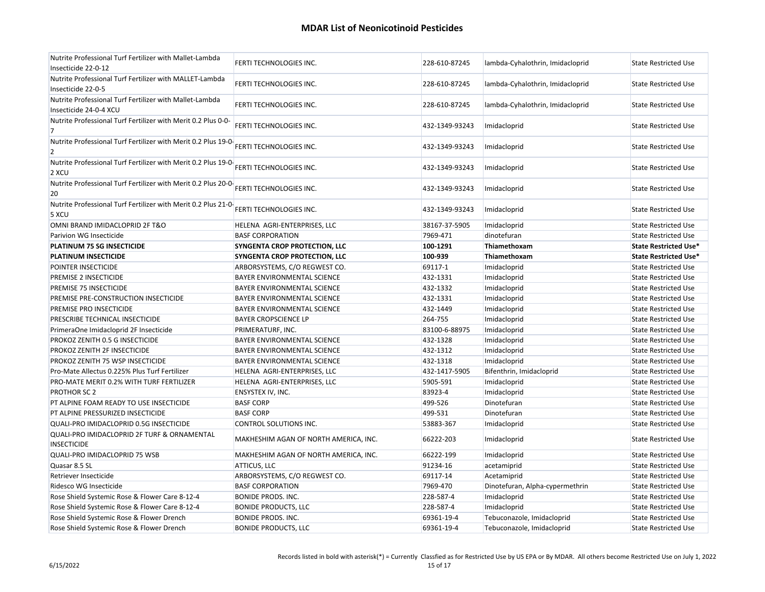| Nutrite Professional Turf Fertilizer with Mallet-Lambda<br>Insecticide 22-0-12    | FERTI TECHNOLOGIES INC.               | 228-610-87245  | lambda-Cyhalothrin, Imidacloprid | <b>State Restricted Use</b>  |
|-----------------------------------------------------------------------------------|---------------------------------------|----------------|----------------------------------|------------------------------|
| Nutrite Professional Turf Fertilizer with MALLET-Lambda<br>Insecticide 22-0-5     | FERTI TECHNOLOGIES INC.               | 228-610-87245  | lambda-Cyhalothrin, Imidacloprid | <b>State Restricted Use</b>  |
| Nutrite Professional Turf Fertilizer with Mallet-Lambda<br>Insecticide 24-0-4 XCU | FERTI TECHNOLOGIES INC.               | 228-610-87245  | lambda-Cyhalothrin, Imidacloprid | <b>State Restricted Use</b>  |
| Nutrite Professional Turf Fertilizer with Merit 0.2 Plus 0-0-<br>7                | FERTI TECHNOLOGIES INC.               | 432-1349-93243 | Imidacloprid                     | <b>State Restricted Use</b>  |
| Nutrite Professional Turf Fertilizer with Merit 0.2 Plus 19-0-<br>$\overline{2}$  | FERTI TECHNOLOGIES INC.               | 432-1349-93243 | Imidacloprid                     | <b>State Restricted Use</b>  |
| Nutrite Professional Turf Fertilizer with Merit 0.2 Plus 19-0-<br>2 XCU           | FERTI TECHNOLOGIES INC.               | 432-1349-93243 | Imidacloprid                     | <b>State Restricted Use</b>  |
| Nutrite Professional Turf Fertilizer with Merit 0.2 Plus 20-0<br>20               | FERTI TECHNOLOGIES INC.               | 432-1349-93243 | Imidacloprid                     | <b>State Restricted Use</b>  |
| Nutrite Professional Turf Fertilizer with Merit 0.2 Plus 21-0<br>5 XCU            | FERTI TECHNOLOGIES INC.               | 432-1349-93243 | Imidacloprid                     | <b>State Restricted Use</b>  |
| OMNI BRAND IMIDACLOPRID 2F T&O                                                    | HELENA AGRI-ENTERPRISES, LLC          | 38167-37-5905  | Imidacloprid                     | <b>State Restricted Use</b>  |
| Parivion WG Insecticide                                                           | <b>BASF CORPORATION</b>               | 7969-471       | dinotefuran                      | <b>State Restricted Use</b>  |
| PLATINUM 75 SG INSECTICIDE                                                        | <b>SYNGENTA CROP PROTECTION, LLC</b>  | 100-1291       | Thiamethoxam                     | <b>State Restricted Use*</b> |
| PLATINUM INSECTICIDE                                                              | SYNGENTA CROP PROTECTION, LLC         | 100-939        | Thiamethoxam                     | <b>State Restricted Use*</b> |
| POINTER INSECTICIDE                                                               | ARBORSYSTEMS, C/O REGWEST CO.         | 69117-1        | Imidacloprid                     | <b>State Restricted Use</b>  |
| PREMISE 2 INSECTICIDE                                                             | <b>BAYER ENVIRONMENTAL SCIENCE</b>    | 432-1331       | Imidacloprid                     | <b>State Restricted Use</b>  |
| PREMISE 75 INSECTICIDE                                                            | BAYER ENVIRONMENTAL SCIENCE           | 432-1332       | Imidacloprid                     | <b>State Restricted Use</b>  |
| PREMISE PRE-CONSTRUCTION INSECTICIDE                                              | BAYER ENVIRONMENTAL SCIENCE           | 432-1331       | Imidacloprid                     | <b>State Restricted Use</b>  |
| PREMISE PRO INSECTICIDE                                                           | BAYER ENVIRONMENTAL SCIENCE           | 432-1449       | Imidacloprid                     | <b>State Restricted Use</b>  |
| PRESCRIBE TECHNICAL INSECTICIDE                                                   | <b>BAYER CROPSCIENCE LP</b>           | 264-755        | Imidacloprid                     | <b>State Restricted Use</b>  |
| PrimeraOne Imidacloprid 2F Insecticide                                            | PRIMERATURF, INC.                     | 83100-6-88975  | Imidacloprid                     | <b>State Restricted Use</b>  |
| PROKOZ ZENITH 0.5 G INSECTICIDE                                                   | BAYER ENVIRONMENTAL SCIENCE           | 432-1328       | Imidacloprid                     | <b>State Restricted Use</b>  |
| PROKOZ ZENITH 2F INSECTICIDE                                                      | BAYER ENVIRONMENTAL SCIENCE           | 432-1312       | Imidacloprid                     | <b>State Restricted Use</b>  |
| PROKOZ ZENITH 75 WSP INSECTICIDE                                                  | BAYER ENVIRONMENTAL SCIENCE           | 432-1318       | Imidacloprid                     | <b>State Restricted Use</b>  |
| Pro-Mate Allectus 0.225% Plus Turf Fertilizer                                     | HELENA AGRI-ENTERPRISES, LLC          | 432-1417-5905  | Bifenthrin, Imidacloprid         | <b>State Restricted Use</b>  |
| PRO-MATE MERIT 0.2% WITH TURF FERTILIZER                                          | HELENA AGRI-ENTERPRISES, LLC          | 5905-591       | Imidacloprid                     | <b>State Restricted Use</b>  |
| PROTHOR SC 2                                                                      | ENSYSTEX IV, INC.                     | 83923-4        | Imidacloprid                     | <b>State Restricted Use</b>  |
| PT ALPINE FOAM READY TO USE INSECTICIDE                                           | <b>BASF CORP</b>                      | 499-526        | Dinotefuran                      | <b>State Restricted Use</b>  |
| PT ALPINE PRESSURIZED INSECTICIDE                                                 | <b>BASF CORP</b>                      | 499-531        | Dinotefuran                      | <b>State Restricted Use</b>  |
| QUALI-PRO IMIDACLOPRID 0.5G INSECTICIDE                                           | CONTROL SOLUTIONS INC.                | 53883-367      | Imidacloprid                     | <b>State Restricted Use</b>  |
| QUALI-PRO IMIDACLOPRID 2F TURF & ORNAMENTAL<br><b>INSECTICIDE</b>                 | MAKHESHIM AGAN OF NORTH AMERICA, INC. | 66222-203      | Imidacloprid                     | <b>State Restricted Use</b>  |
| QUALI-PRO IMIDACLOPRID 75 WSB                                                     | MAKHESHIM AGAN OF NORTH AMERICA, INC. | 66222-199      | Imidacloprid                     | <b>State Restricted Use</b>  |
| Quasar 8.5 SL                                                                     | <b>ATTICUS, LLC</b>                   | 91234-16       | acetamiprid                      | <b>State Restricted Use</b>  |
| Retriever Insecticide                                                             | ARBORSYSTEMS, C/O REGWEST CO.         | 69117-14       | Acetamiprid                      | <b>State Restricted Use</b>  |
| Ridesco WG Insecticide                                                            | <b>BASF CORPORATION</b>               | 7969-470       | Dinotefuran, Alpha-cypermethrin  | <b>State Restricted Use</b>  |
| Rose Shield Systemic Rose & Flower Care 8-12-4                                    | <b>BONIDE PRODS. INC.</b>             | 228-587-4      | Imidacloprid                     | <b>State Restricted Use</b>  |
| Rose Shield Systemic Rose & Flower Care 8-12-4                                    | <b>BONIDE PRODUCTS, LLC</b>           | 228-587-4      | Imidacloprid                     | <b>State Restricted Use</b>  |
| Rose Shield Systemic Rose & Flower Drench                                         | <b>BONIDE PRODS. INC.</b>             | 69361-19-4     | Tebuconazole, Imidacloprid       | <b>State Restricted Use</b>  |
| Rose Shield Systemic Rose & Flower Drench                                         | <b>BONIDE PRODUCTS, LLC</b>           | 69361-19-4     | Tebuconazole, Imidacloprid       | <b>State Restricted Use</b>  |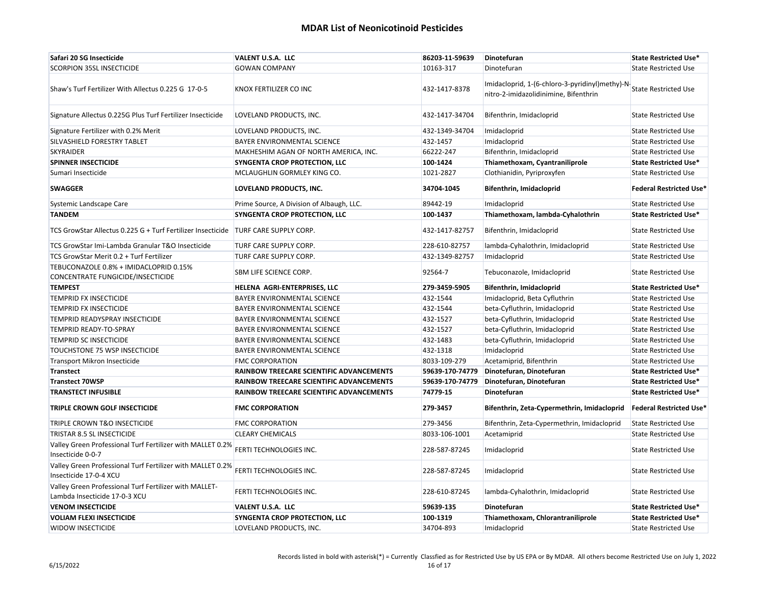| Safari 20 SG Insecticide                                                                | VALENT U.S.A. LLC                               | 86203-11-59639  | Dinotefuran                                                                              | <b>State Restricted Use*</b>   |
|-----------------------------------------------------------------------------------------|-------------------------------------------------|-----------------|------------------------------------------------------------------------------------------|--------------------------------|
| <b>SCORPION 35SL INSECTICIDE</b>                                                        | <b>GOWAN COMPANY</b>                            | 10163-317       | Dinotefuran                                                                              | <b>State Restricted Use</b>    |
| Shaw's Turf Fertilizer With Allectus 0.225 G 17-0-5                                     | KNOX FERTILIZER CO INC                          | 432-1417-8378   | Imidacloprid, 1-(6-chloro-3-pyridinyl)methy)-N-<br>nitro-2-imidazolidinimine, Bifenthrin | <b>State Restricted Use</b>    |
| Signature Allectus 0.225G Plus Turf Fertilizer Insecticide                              | LOVELAND PRODUCTS, INC.                         | 432-1417-34704  | Bifenthrin, Imidacloprid                                                                 | <b>State Restricted Use</b>    |
| Signature Fertilizer with 0.2% Merit                                                    | LOVELAND PRODUCTS, INC.                         | 432-1349-34704  | Imidacloprid                                                                             | <b>State Restricted Use</b>    |
| SILVASHIELD FORESTRY TABLET                                                             | BAYER ENVIRONMENTAL SCIENCE                     | 432-1457        | Imidacloprid                                                                             | <b>State Restricted Use</b>    |
| <b>SKYRAIDER</b>                                                                        | MAKHESHIM AGAN OF NORTH AMERICA, INC.           | 66222-247       | Bifenthrin, Imidacloprid                                                                 | <b>State Restricted Use</b>    |
| <b>SPINNER INSECTICIDE</b>                                                              | SYNGENTA CROP PROTECTION, LLC                   | 100-1424        | Thiamethoxam, Cyantraniliprole                                                           | <b>State Restricted Use*</b>   |
| Sumari Insecticide                                                                      | MCLAUGHLIN GORMLEY KING CO.                     | 1021-2827       | Clothianidin, Pyriproxyfen                                                               | <b>State Restricted Use</b>    |
| <b>SWAGGER</b>                                                                          | LOVELAND PRODUCTS, INC.                         | 34704-1045      | Bifenthrin, Imidacloprid                                                                 | <b>Federal Restricted Use*</b> |
| Systemic Landscape Care                                                                 | Prime Source, A Division of Albaugh, LLC.       | 89442-19        | Imidacloprid                                                                             | <b>State Restricted Use</b>    |
| <b>TANDEM</b>                                                                           | SYNGENTA CROP PROTECTION, LLC                   | 100-1437        | Thiamethoxam, lambda-Cyhalothrin                                                         | <b>State Restricted Use*</b>   |
| TCS GrowStar Allectus 0.225 G + Turf Fertilizer Insecticide   TURF CARE SUPPLY CORP.    |                                                 | 432-1417-82757  | Bifenthrin, Imidacloprid                                                                 | <b>State Restricted Use</b>    |
| TCS GrowStar Imi-Lambda Granular T&O Insecticide                                        | <b>TURF CARE SUPPLY CORP.</b>                   | 228-610-82757   | lambda-Cyhalothrin, Imidacloprid                                                         | <b>State Restricted Use</b>    |
| TCS GrowStar Merit 0.2 + Turf Fertilizer                                                | <b>TURF CARE SUPPLY CORP.</b>                   | 432-1349-82757  | Imidacloprid                                                                             | <b>State Restricted Use</b>    |
| TEBUCONAZOLE 0.8% + IMIDACLOPRID 0.15%<br>CONCENTRATE FUNGICIDE/INSECTICIDE             | SBM LIFE SCIENCE CORP.                          | 92564-7         | Tebuconazole, Imidacloprid                                                               | <b>State Restricted Use</b>    |
| <b>TEMPEST</b>                                                                          | HELENA AGRI-ENTERPRISES, LLC                    | 279-3459-5905   | Bifenthrin, Imidacloprid                                                                 | <b>State Restricted Use*</b>   |
| TEMPRID FX INSECTICIDE                                                                  | <b>BAYER ENVIRONMENTAL SCIENCE</b>              | 432-1544        | Imidacloprid, Beta Cyfluthrin                                                            | <b>State Restricted Use</b>    |
| TEMPRID FX INSECTICIDE                                                                  | BAYER ENVIRONMENTAL SCIENCE                     | 432-1544        | beta-Cyfluthrin, Imidacloprid                                                            | <b>State Restricted Use</b>    |
| TEMPRID READYSPRAY INSECTICIDE                                                          | BAYER ENVIRONMENTAL SCIENCE                     | 432-1527        | beta-Cyfluthrin, Imidacloprid                                                            | <b>State Restricted Use</b>    |
| TEMPRID READY-TO-SPRAY                                                                  | BAYER ENVIRONMENTAL SCIENCE                     | 432-1527        | beta-Cyfluthrin, Imidacloprid                                                            | <b>State Restricted Use</b>    |
| <b>TEMPRID SC INSECTICIDE</b>                                                           | <b>BAYER ENVIRONMENTAL SCIENCE</b>              | 432-1483        | beta-Cyfluthrin, Imidacloprid                                                            | <b>State Restricted Use</b>    |
| TOUCHSTONE 75 WSP INSECTICIDE                                                           | BAYER ENVIRONMENTAL SCIENCE                     | 432-1318        | Imidacloprid                                                                             | <b>State Restricted Use</b>    |
| <b>Transport Mikron Insecticide</b>                                                     | <b>FMC CORPORATION</b>                          | 8033-109-279    | Acetamiprid, Bifenthrin                                                                  | <b>State Restricted Use</b>    |
| <b>Transtect</b>                                                                        | RAINBOW TREECARE SCIENTIFIC ADVANCEMENTS        | 59639-170-74779 | Dinotefuran, Dinotefuran                                                                 | <b>State Restricted Use*</b>   |
| <b>Transtect 70WSP</b>                                                                  | <b>RAINBOW TREECARE SCIENTIFIC ADVANCEMENTS</b> | 59639-170-74779 | Dinotefuran, Dinotefuran                                                                 | <b>State Restricted Use*</b>   |
| <b>TRANSTECT INFUSIBLE</b>                                                              | RAINBOW TREECARE SCIENTIFIC ADVANCEMENTS        | 74779-15        | Dinotefuran                                                                              | <b>State Restricted Use*</b>   |
| <b>TRIPLE CROWN GOLF INSECTICIDE</b>                                                    | <b>FMC CORPORATION</b>                          | 279-3457        | Bifenthrin, Zeta-Cypermethrin, Imidacloprid                                              | <b>Federal Restricted Use*</b> |
| TRIPLE CROWN T&O INSECTICIDE                                                            | <b>FMC CORPORATION</b>                          | 279-3456        | Bifenthrin, Zeta-Cypermethrin, Imidacloprid                                              | <b>State Restricted Use</b>    |
| TRISTAR 8.5 SL INSECTICIDE                                                              | <b>CLEARY CHEMICALS</b>                         | 8033-106-1001   | Acetamiprid                                                                              | <b>State Restricted Use</b>    |
| Valley Green Professional Turf Fertilizer with MALLET 0.2%<br>Insecticide 0-0-7         | FERTI TECHNOLOGIES INC.                         | 228-587-87245   | Imidacloprid                                                                             | <b>State Restricted Use</b>    |
| Valley Green Professional Turf Fertilizer with MALLET 0.2%<br>Insecticide 17-0-4 XCU    | FERTI TECHNOLOGIES INC.                         | 228-587-87245   | Imidacloprid                                                                             | <b>State Restricted Use</b>    |
| Valley Green Professional Turf Fertilizer with MALLET-<br>Lambda Insecticide 17-0-3 XCU | FERTI TECHNOLOGIES INC.                         | 228-610-87245   | lambda-Cyhalothrin, Imidacloprid                                                         | <b>State Restricted Use</b>    |
| <b>VENOM INSECTICIDE</b>                                                                | VALENT U.S.A. LLC                               | 59639-135       | Dinotefuran                                                                              | <b>State Restricted Use*</b>   |
| <b>VOLIAM FLEXI INSECTICIDE</b>                                                         | SYNGENTA CROP PROTECTION, LLC                   | 100-1319        | Thiamethoxam, Chlorantraniliprole                                                        | <b>State Restricted Use*</b>   |
| WIDOW INSECTICIDE                                                                       | LOVELAND PRODUCTS, INC.                         | 34704-893       | Imidacloprid                                                                             | <b>State Restricted Use</b>    |